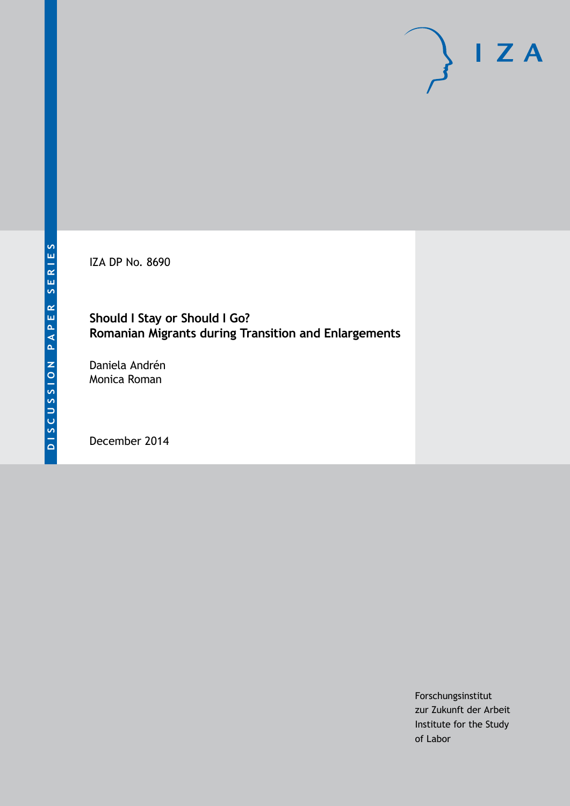IZA DP No. 8690

### **Should I Stay or Should I Go? Romanian Migrants during Transition and Enlargements**

Daniela Andrén Monica Roman

December 2014

Forschungsinstitut zur Zukunft der Arbeit Institute for the Study of Labor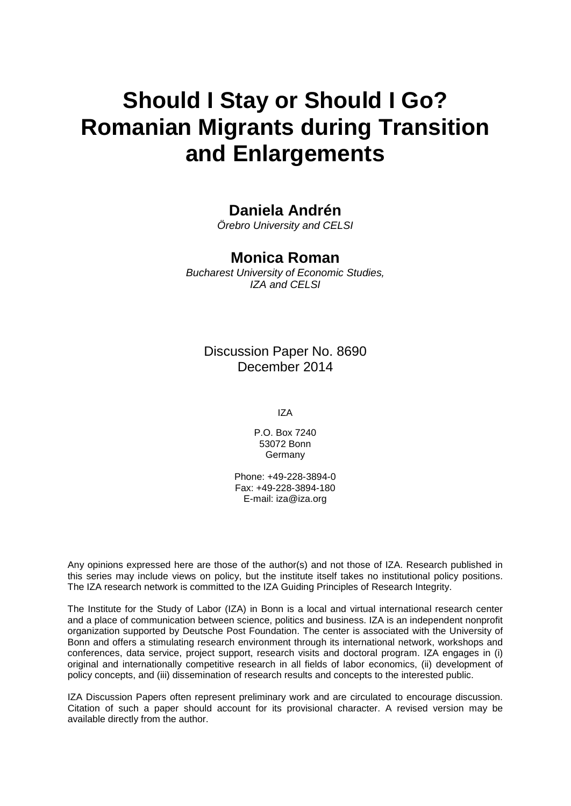# **Should I Stay or Should I Go? Romanian Migrants during Transition and Enlargements**

# **Daniela Andrén**

*Örebro University and CELSI*

### **Monica Roman**

*Bucharest University of Economic Studies, IZA and CELSI*

Discussion Paper No. 8690 December 2014

IZA

P.O. Box 7240 53072 Bonn **Germany** 

Phone: +49-228-3894-0 Fax: +49-228-3894-180 E-mail: [iza@iza.org](mailto:iza@iza.org)

Any opinions expressed here are those of the author(s) and not those of IZA. Research published in this series may include views on policy, but the institute itself takes no institutional policy positions. The IZA research network is committed to the IZA Guiding Principles of Research Integrity.

The Institute for the Study of Labor (IZA) in Bonn is a local and virtual international research center and a place of communication between science, politics and business. IZA is an independent nonprofit organization supported by Deutsche Post Foundation. The center is associated with the University of Bonn and offers a stimulating research environment through its international network, workshops and conferences, data service, project support, research visits and doctoral program. IZA engages in (i) original and internationally competitive research in all fields of labor economics, (ii) development of policy concepts, and (iii) dissemination of research results and concepts to the interested public.

<span id="page-1-0"></span>IZA Discussion Papers often represent preliminary work and are circulated to encourage discussion. Citation of such a paper should account for its provisional character. A revised version may be available directly from the author.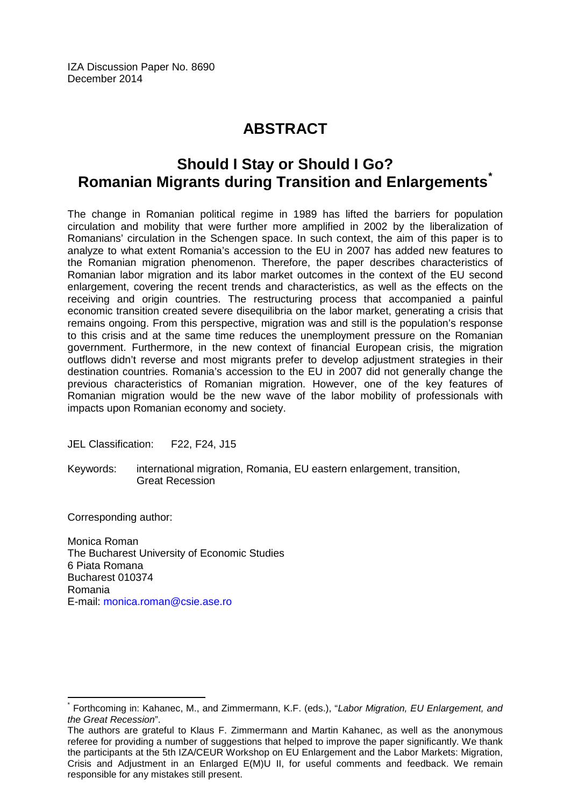IZA Discussion Paper No. 8690 December 2014

# **ABSTRACT**

# **Should I Stay or Should I Go? Romanian Migrants during Transition and Enlargements[\\*](#page-1-0)**

The change in Romanian political regime in 1989 has lifted the barriers for population circulation and mobility that were further more amplified in 2002 by the liberalization of Romanians' circulation in the Schengen space. In such context, the aim of this paper is to analyze to what extent Romania's accession to the EU in 2007 has added new features to the Romanian migration phenomenon. Therefore, the paper describes characteristics of Romanian labor migration and its labor market outcomes in the context of the EU second enlargement, covering the recent trends and characteristics, as well as the effects on the receiving and origin countries. The restructuring process that accompanied a painful economic transition created severe disequilibria on the labor market, generating a crisis that remains ongoing. From this perspective, migration was and still is the population's response to this crisis and at the same time reduces the unemployment pressure on the Romanian government. Furthermore, in the new context of financial European crisis, the migration outflows didn't reverse and most migrants prefer to develop adjustment strategies in their destination countries. Romania's accession to the EU in 2007 did not generally change the previous characteristics of Romanian migration. However, one of the key features of Romanian migration would be the new wave of the labor mobility of professionals with impacts upon Romanian economy and society.

JEL Classification: F22, F24, J15

Keywords: international migration, Romania, EU eastern enlargement, transition, Great Recession

Corresponding author:

Monica Roman The Bucharest University of Economic Studies 6 Piata Romana Bucharest 010374 Romania E-mail: [monica.roman@csie.ase.ro](mailto:monica.roman@csie.ase.ro)

\* Forthcoming in: Kahanec, M., and Zimmermann, K.F. (eds.), "*Labor Migration, EU Enlargement, and the Great Recession*".

The authors are grateful to Klaus F. Zimmermann and Martin Kahanec, as well as the anonymous referee for providing a number of suggestions that helped to improve the paper significantly. We thank the participants at the 5th IZA/CEUR Workshop on EU Enlargement and the Labor Markets: Migration, Crisis and Adjustment in an Enlarged E(M)U II, for useful comments and feedback. We remain responsible for any mistakes still present.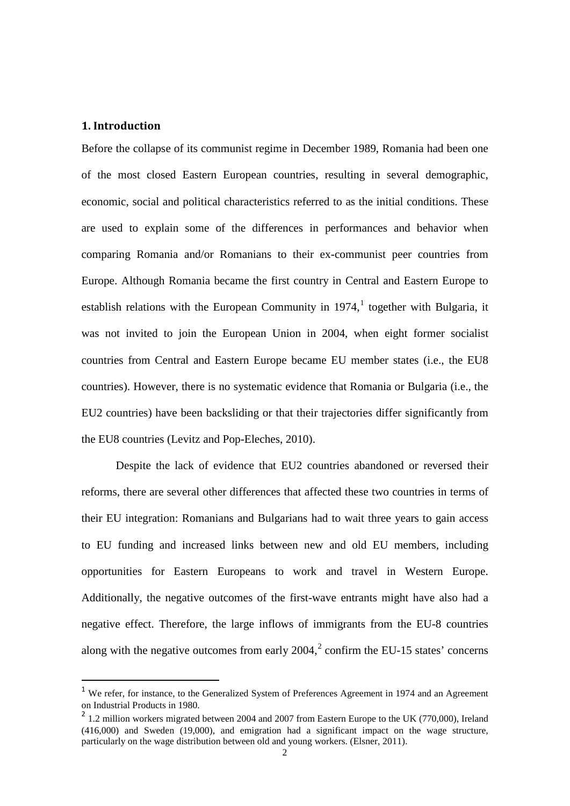#### **1. Introduction**

Before the collapse of its communist regime in December 1989, Romania had been one of the most closed Eastern European countries, resulting in several demographic, economic, social and political characteristics referred to as the initial conditions. These are used to explain some of the differences in performances and behavior when comparing Romania and/or Romanians to their ex-communist peer countries from Europe. Although Romania became the first country in Central and Eastern Europe to establish relations with the European Community in  $1974$ , together with Bulgaria, it was not invited to join the European Union in 2004, when eight former socialist countries from Central and Eastern Europe became EU member states (i.e., the EU8 countries). However, there is no systematic evidence that Romania or Bulgaria (i.e., the EU2 countries) have been backsliding or that their trajectories differ significantly from the EU8 countries (Levitz and Pop-Eleches, 2010).

Despite the lack of evidence that EU2 countries abandoned or reversed their reforms, there are several other differences that affected these two countries in terms of their EU integration: Romanians and Bulgarians had to wait three years to gain access to EU funding and increased links between new and old EU members, including opportunities for Eastern Europeans to work and travel in Western Europe. Additionally, the negative outcomes of the first-wave entrants might have also had a negative effect. Therefore, the large inflows of immigrants from the EU-8 countries along with the negative outcomes from early  $2004$  $2004$ ,  $2004$ ,  $2$  confirm the EU-15 states' concerns

<span id="page-3-1"></span><sup>&</sup>lt;sup>1</sup> We refer, for instance, to the Generalized System of Preferences Agreement in 1974 and an Agreement on Industrial Products in 1980.

<span id="page-3-0"></span><sup>&</sup>lt;sup>2</sup> 1.2 million workers migrated between 2004 and 2007 from Eastern Europe to the UK (770,000), Ireland (416,000) and Sweden (19,000), and emigration had a significant impact on the wage structure, particularly on the wage distribution between old and young workers. (Elsner, 2011).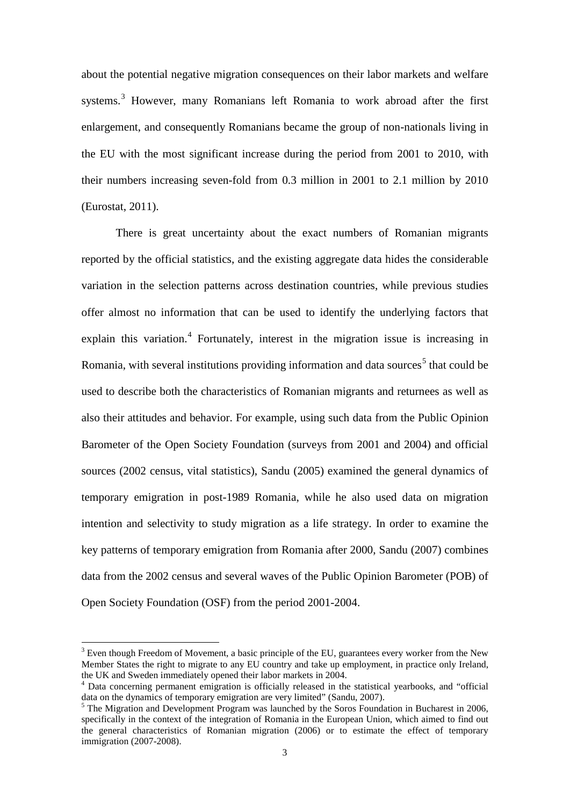about the potential negative migration consequences on their labor markets and welfare systems.<sup>[3](#page-3-1)</sup> However, many Romanians left Romania to work abroad after the first enlargement, and consequently Romanians became the group of non-nationals living in the EU with the most significant increase during the period from 2001 to 2010, with their numbers increasing seven-fold from 0.3 million in 2001 to 2.1 million by 2010 (Eurostat, 2011).

There is great uncertainty about the exact numbers of Romanian migrants reported by the official statistics, and the existing aggregate data hides the considerable variation in the selection patterns across destination countries, while previous studies offer almost no information that can be used to identify the underlying factors that explain this variation.<sup>[4](#page-4-0)</sup> Fortunately, interest in the migration issue is increasing in Romania, with several institutions providing information and data sources<sup>[5](#page-4-1)</sup> that could be used to describe both the characteristics of Romanian migrants and returnees as well as also their attitudes and behavior. For example, using such data from the Public Opinion Barometer of the Open Society Foundation (surveys from 2001 and 2004) and official sources (2002 census, vital statistics), Sandu (2005) examined the general dynamics of temporary emigration in post-1989 Romania, while he also used data on migration intention and selectivity to study migration as a life strategy. In order to examine the key patterns of temporary emigration from Romania after 2000, Sandu (2007) combines data from the 2002 census and several waves of the Public Opinion Barometer (POB) of Open Society Foundation (OSF) from the period 2001-2004.

 $3$  Even though Freedom of Movement, a basic principle of the EU, guarantees every worker from the New Member States the right to migrate to any EU country and take up employment, in practice only Ireland, the UK and Sweden immediately opened their labor markets in 2004.

<span id="page-4-2"></span><span id="page-4-0"></span> $4$  Data concerning permanent emigration is officially released in the statistical yearbooks, and "official data on the dynamics of temporary emigration are very limited" (Sandu, 2007).

<span id="page-4-1"></span> $<sup>5</sup>$  The Migration and Development Program was launched by the Soros Foundation in Bucharest in 2006,</sup> specifically in the context of the integration of Romania in the European Union, which aimed to find out the general characteristics of Romanian migration (2006) or to estimate the effect of temporary immigration (2007-2008).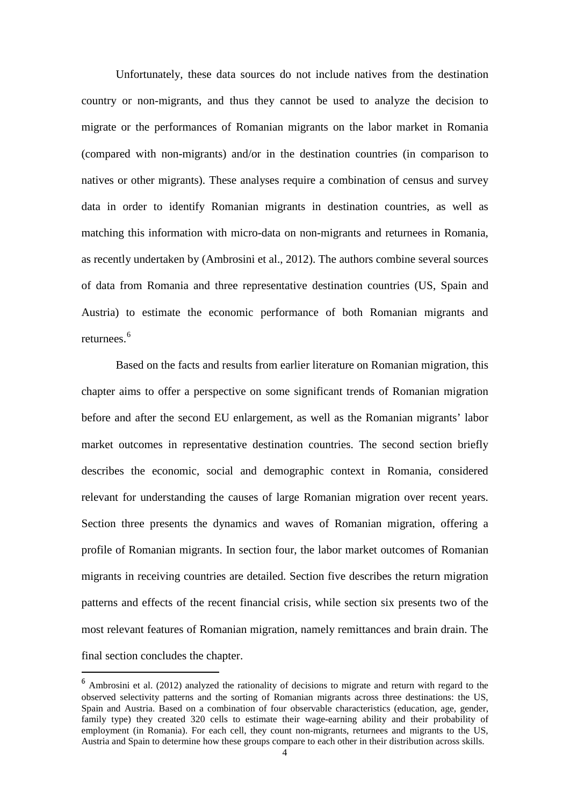Unfortunately, these data sources do not include natives from the destination country or non-migrants, and thus they cannot be used to analyze the decision to migrate or the performances of Romanian migrants on the labor market in Romania (compared with non-migrants) and/or in the destination countries (in comparison to natives or other migrants). These analyses require a combination of census and survey data in order to identify Romanian migrants in destination countries, as well as matching this information with micro-data on non-migrants and returnees in Romania, as recently undertaken by (Ambrosini et al., 2012). The authors combine several sources of data from Romania and three representative destination countries (US, Spain and Austria) to estimate the economic performance of both Romanian migrants and returnees.<sup>[6](#page-4-2)</sup>

Based on the facts and results from earlier literature on Romanian migration, this chapter aims to offer a perspective on some significant trends of Romanian migration before and after the second EU enlargement, as well as the Romanian migrants' labor market outcomes in representative destination countries. The second section briefly describes the economic, social and demographic context in Romania, considered relevant for understanding the causes of large Romanian migration over recent years. Section three presents the dynamics and waves of Romanian migration, offering a profile of Romanian migrants. In section four, the labor market outcomes of Romanian migrants in receiving countries are detailed. Section five describes the return migration patterns and effects of the recent financial crisis, while section six presents two of the most relevant features of Romanian migration, namely remittances and brain drain. The final section concludes the chapter.

<span id="page-5-0"></span> <sup>6</sup> Ambrosini et al. (2012) analyzed the rationality of decisions to migrate and return with regard to the observed selectivity patterns and the sorting of Romanian migrants across three destinations: the US, Spain and Austria. Based on a combination of four observable characteristics (education, age, gender, family type) they created 320 cells to estimate their wage-earning ability and their probability of employment (in Romania). For each cell, they count non-migrants, returnees and migrants to the US, Austria and Spain to determine how these groups compare to each other in their distribution across skills.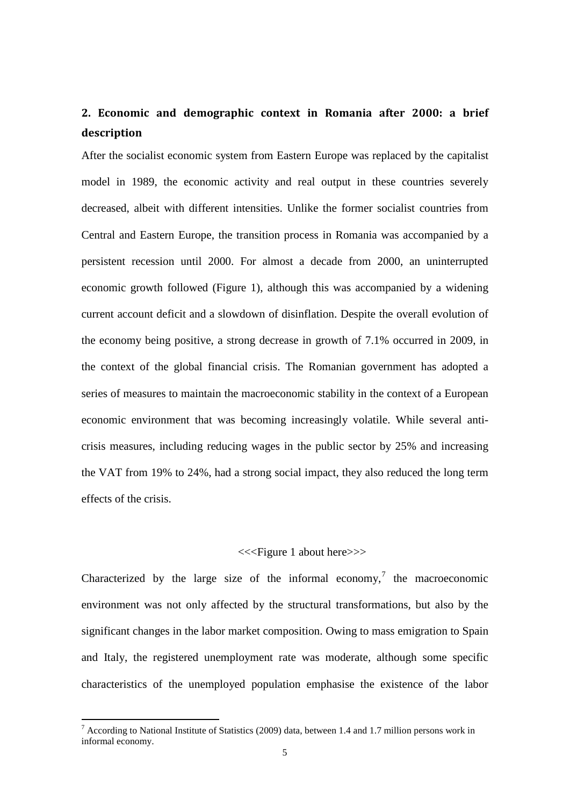# **2. Economic and demographic context in Romania after 2000: a brief description**

After the socialist economic system from Eastern Europe was replaced by the capitalist model in 1989, the economic activity and real output in these countries severely decreased, albeit with different intensities. Unlike the former socialist countries from Central and Eastern Europe, the transition process in Romania was accompanied by a persistent recession until 2000. For almost a decade from 2000, an uninterrupted economic growth followed (Figure 1), although this was accompanied by a widening current account deficit and a slowdown of disinflation. Despite the overall evolution of the economy being positive, a strong decrease in growth of 7.1% occurred in 2009, in the context of the global financial crisis. The Romanian government has adopted a series of measures to maintain the macroeconomic stability in the context of a European economic environment that was becoming increasingly volatile. While several anticrisis measures, including reducing wages in the public sector by 25% and increasing the VAT from 19% to 24%, had a strong social impact, they also reduced the long term effects of the crisis.

#### <<<Figure 1 about here>>>

Characterized by the large size of the informal economy,<sup>[7](#page-5-0)</sup> the macroeconomic environment was not only affected by the structural transformations, but also by the significant changes in the labor market composition. Owing to mass emigration to Spain and Italy, the registered unemployment rate was moderate, although some specific characteristics of the unemployed population emphasise the existence of the labor

<span id="page-6-0"></span><sup>&</sup>lt;sup>7</sup> According to National Institute of Statistics (2009) data, between 1.4 and 1.7 million persons work in informal economy.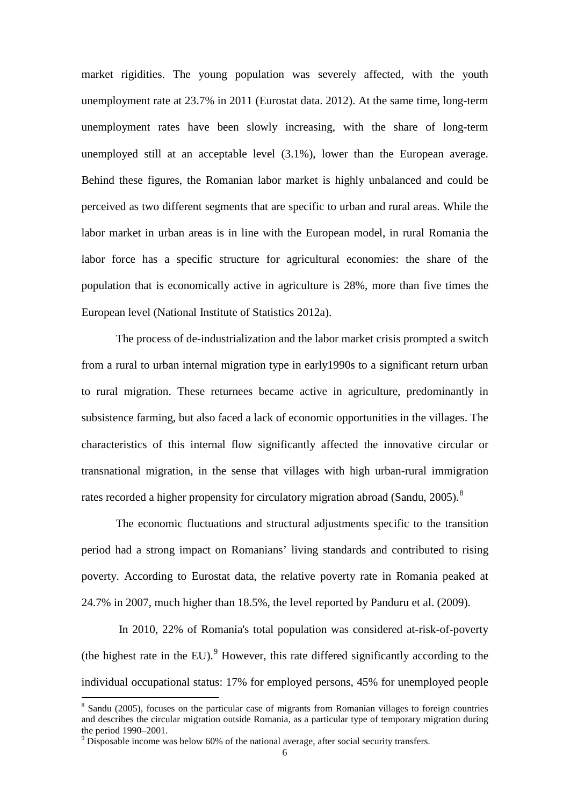market rigidities. The young population was severely affected, with the youth unemployment rate at 23.7% in 2011 (Eurostat data. 2012). At the same time, long-term unemployment rates have been slowly increasing, with the share of long-term unemployed still at an acceptable level (3.1%), lower than the European average. Behind these figures, the Romanian labor market is highly unbalanced and could be perceived as two different segments that are specific to urban and rural areas. While the labor market in urban areas is in line with the European model, in rural Romania the labor force has a specific structure for agricultural economies: the share of the population that is economically active in agriculture is 28%, more than five times the European level (National Institute of Statistics 2012a).

The process of de-industrialization and the labor market crisis prompted a switch from a rural to urban internal migration type in early1990s to a significant return urban to rural migration. These returnees became active in agriculture, predominantly in subsistence farming, but also faced a lack of economic opportunities in the villages. The characteristics of this internal flow significantly affected the innovative circular or transnational migration, in the sense that villages with high urban-rural immigration rates recorded a higher propensity for circulatory migration abroad (Sandu, 2005).<sup>[8](#page-6-0)</sup>

The economic fluctuations and structural adjustments specific to the transition period had a strong impact on Romanians' living standards and contributed to rising poverty. According to Eurostat data, the relative poverty rate in Romania peaked at 24.7% in 2007, much higher than 18.5%, the level reported by Panduru et al. (2009).

<span id="page-7-1"></span>In 2010, 22% of Romania's total population was considered at-risk-of-poverty (the highest rate in the EU). $^{9}$  $^{9}$  $^{9}$  However, this rate differed significantly according to the individual occupational status: 17% for employed persons, 45% for unemployed people

<sup>&</sup>lt;sup>8</sup> Sandu (2005), focuses on the particular case of migrants from Romanian villages to foreign countries and describes the circular migration outside Romania, as a particular type of temporary migration during the period 1990–2001.<br><sup>9</sup> Disposable income was below 60% of the national average, after social security transfers.

<span id="page-7-0"></span>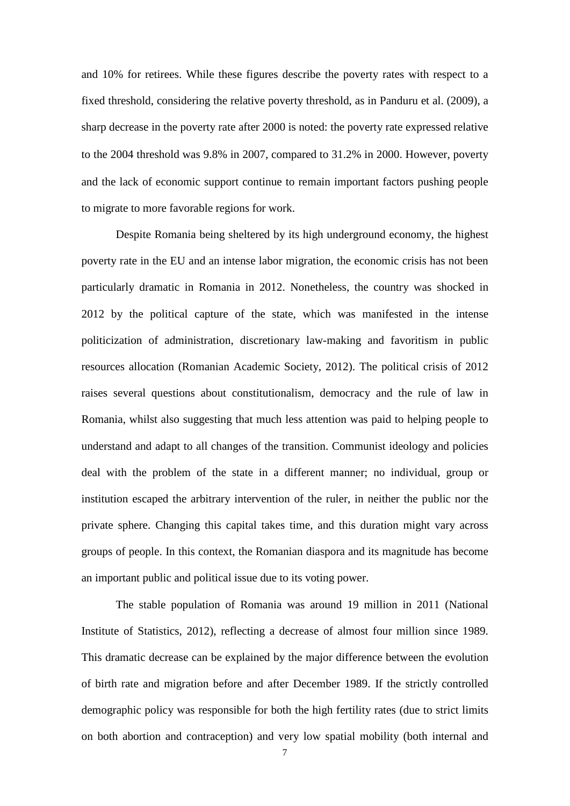and 10% for retirees. While these figures describe the poverty rates with respect to a fixed threshold, considering the relative poverty threshold, as in Panduru et al. (2009), a sharp decrease in the poverty rate after 2000 is noted: the poverty rate expressed relative to the 2004 threshold was 9.8% in 2007, compared to 31.2% in 2000. However, poverty and the lack of economic support continue to remain important factors pushing people to migrate to more favorable regions for work.

Despite Romania being sheltered by its high underground economy, the highest poverty rate in the EU and an intense labor migration, the economic crisis has not been particularly dramatic in Romania in 2012. Nonetheless, the country was shocked in 2012 by the political capture of the state, which was manifested in the intense politicization of administration, discretionary law-making and favoritism in public resources allocation (Romanian Academic Society, 2012). The political crisis of 2012 raises several questions about constitutionalism, democracy and the rule of law in Romania, whilst also suggesting that much less attention was paid to helping people to understand and adapt to all changes of the transition. Communist ideology and policies deal with the problem of the state in a different manner; no individual, group or institution escaped the arbitrary intervention of the ruler, in neither the public nor the private sphere. Changing this capital takes time, and this duration might vary across groups of people. In this context, the Romanian diaspora and its magnitude has become an important public and political issue due to its voting power.

The stable population of Romania was around 19 million in 2011 (National Institute of Statistics, 2012), reflecting a decrease of almost four million since 1989. This dramatic decrease can be explained by the major difference between the evolution of birth rate and migration before and after December 1989. If the strictly controlled demographic policy was responsible for both the high fertility rates (due to strict limits on both abortion and contraception) and very low spatial mobility (both internal and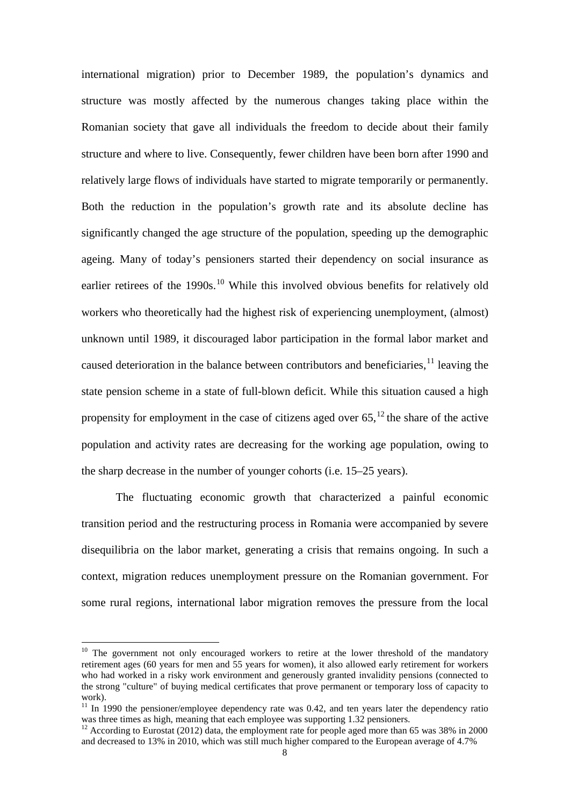international migration) prior to December 1989, the population's dynamics and structure was mostly affected by the numerous changes taking place within the Romanian society that gave all individuals the freedom to decide about their family structure and where to live. Consequently, fewer children have been born after 1990 and relatively large flows of individuals have started to migrate temporarily or permanently. Both the reduction in the population's growth rate and its absolute decline has significantly changed the age structure of the population, speeding up the demographic ageing. Many of today's pensioners started their dependency on social insurance as earlier retirees of the 1990s.<sup>[10](#page-7-1)</sup> While this involved obvious benefits for relatively old workers who theoretically had the highest risk of experiencing unemployment, (almost) unknown until 1989, it discouraged labor participation in the formal labor market and caused deterioration in the balance between contributors and beneficiaries,  $^{11}$  $^{11}$  $^{11}$  leaving the state pension scheme in a state of full-blown deficit. While this situation caused a high propensity for employment in the case of citizens aged over  $65$ ,  $^{12}$  $^{12}$  $^{12}$  the share of the active population and activity rates are decreasing for the working age population, owing to the sharp decrease in the number of younger cohorts (i.e. 15–25 years).

The fluctuating economic growth that characterized a painful economic transition period and the restructuring process in Romania were accompanied by severe disequilibria on the labor market, generating a crisis that remains ongoing. In such a context, migration reduces unemployment pressure on the Romanian government. For some rural regions, international labor migration removes the pressure from the local

<sup>&</sup>lt;sup>10</sup> The government not only encouraged workers to retire at the lower threshold of the mandatory retirement ages (60 years for men and 55 years for women), it also allowed early retirement for workers who had worked in a risky work environment and generously granted invalidity pensions (connected to the strong "culture" of buying medical certificates that prove permanent or temporary loss of capacity to work).

<span id="page-9-0"></span> $11 \text{ In } 1990$  the pensioner/employee dependency rate was 0.42, and ten years later the dependency ratio was three times as high, meaning that each employee was supporting 1.32 pensioners.

<span id="page-9-1"></span><sup>&</sup>lt;sup>12</sup> According to Eurostat (2012) data, the employment rate for people aged more than 65 was 38% in 2000 and decreased to 13% in 2010, which was still much higher compared to the European average of 4.7%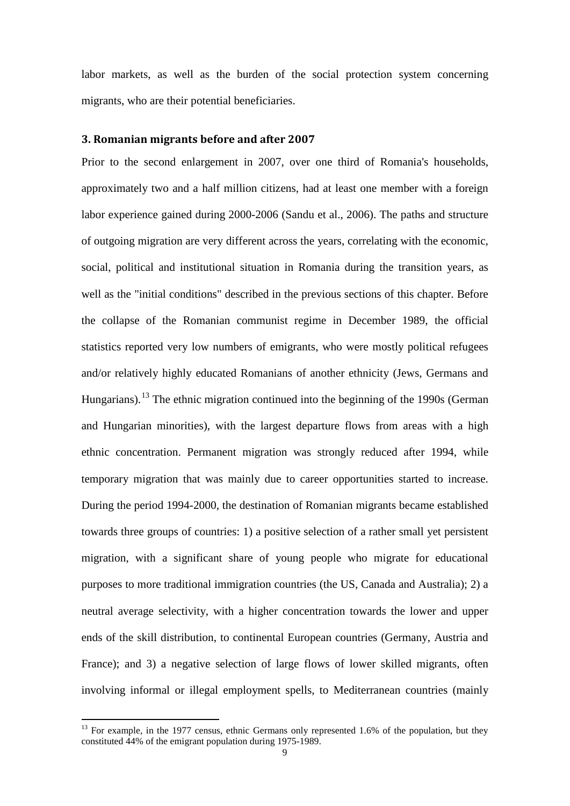labor markets, as well as the burden of the social protection system concerning migrants, who are their potential beneficiaries.

#### **3. Romanian migrants before and after 2007**

Prior to the second enlargement in 2007, over one third of Romania's households, approximately two and a half million citizens, had at least one member with a foreign labor experience gained during 2000-2006 (Sandu et al., 2006). The paths and structure of outgoing migration are very different across the years, correlating with the economic, social, political and institutional situation in Romania during the transition years, as well as the "initial conditions" described in the previous sections of this chapter. Before the collapse of the Romanian communist regime in December 1989, the official statistics reported very low numbers of emigrants, who were mostly political refugees and/or relatively highly educated Romanians of another ethnicity (Jews, Germans and Hungarians).<sup>[13](#page-9-1)</sup> The ethnic migration continued into the beginning of the 1990s (German) and Hungarian minorities), with the largest departure flows from areas with a high ethnic concentration. Permanent migration was strongly reduced after 1994, while temporary migration that was mainly due to career opportunities started to increase. During the period 1994-2000, the destination of Romanian migrants became established towards three groups of countries: 1) a positive selection of a rather small yet persistent migration, with a significant share of young people who migrate for educational purposes to more traditional immigration countries (the US, Canada and Australia); 2) a neutral average selectivity, with a higher concentration towards the lower and upper ends of the skill distribution, to continental European countries (Germany, Austria and France); and 3) a negative selection of large flows of lower skilled migrants, often involving informal or illegal employment spells, to Mediterranean countries (mainly

<span id="page-10-0"></span> $13$  For example, in the 1977 census, ethnic Germans only represented 1.6% of the population, but they constituted 44% of the emigrant population during 1975-1989.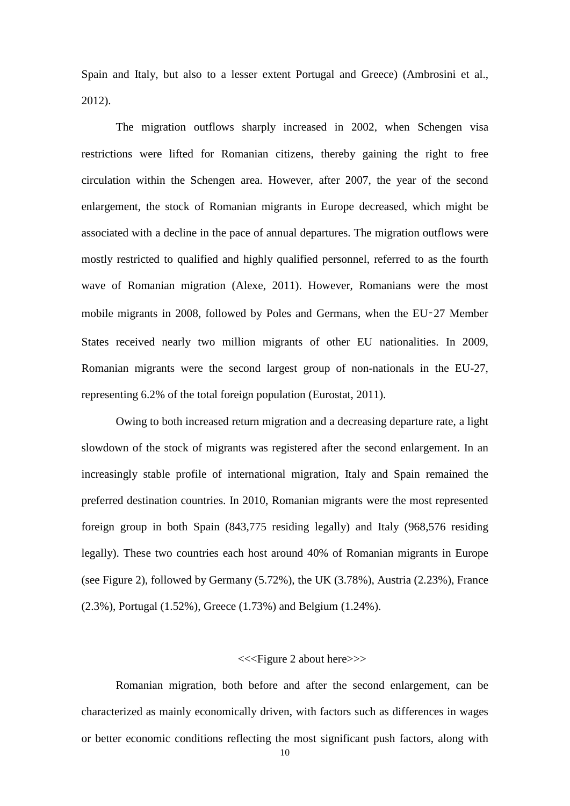Spain and Italy, but also to a lesser extent Portugal and Greece) (Ambrosini et al., 2012).

The migration outflows sharply increased in 2002, when Schengen visa restrictions were lifted for Romanian citizens, thereby gaining the right to free circulation within the Schengen area. However, after 2007, the year of the second enlargement, the stock of Romanian migrants in Europe decreased, which might be associated with a decline in the pace of annual departures. The migration outflows were mostly restricted to qualified and highly qualified personnel, referred to as the fourth wave of Romanian migration (Alexe, 2011). However, Romanians were the most mobile migrants in 2008, followed by Poles and Germans, when the EU‑27 Member States received nearly two million migrants of other EU nationalities. In 2009, Romanian migrants were the second largest group of non-nationals in the EU-27, representing 6.2% of the total foreign population (Eurostat, 2011).

Owing to both increased return migration and a decreasing departure rate, a light slowdown of the stock of migrants was registered after the second enlargement. In an increasingly stable profile of international migration, Italy and Spain remained the preferred destination countries. In 2010, Romanian migrants were the most represented foreign group in both Spain (843,775 residing legally) and Italy (968,576 residing legally). These two countries each host around 40% of Romanian migrants in Europe (see Figure 2), followed by Germany (5.72%), the UK (3.78%), Austria (2.23%), France (2.3%), Portugal (1.52%), Greece (1.73%) and Belgium (1.24%).

#### <<<Figure 2 about here>>>

Romanian migration, both before and after the second enlargement, can be characterized as mainly economically driven, with factors such as differences in wages or better economic conditions reflecting the most significant push factors, along with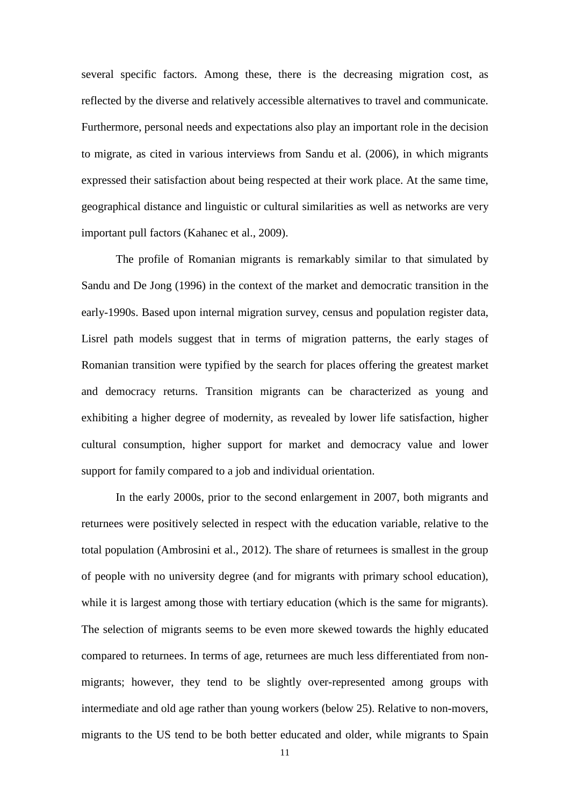several specific factors. Among these, there is the decreasing migration cost, as reflected by the diverse and relatively accessible alternatives to travel and communicate. Furthermore, personal needs and expectations also play an important role in the decision to migrate, as cited in various interviews from Sandu et al. (2006), in which migrants expressed their satisfaction about being respected at their work place. At the same time, geographical distance and linguistic or cultural similarities as well as networks are very important pull factors (Kahanec et al., 2009).

The profile of Romanian migrants is remarkably similar to that simulated by Sandu and De Jong (1996) in the context of the market and democratic transition in the early-1990s. Based upon internal migration survey, census and population register data, Lisrel path models suggest that in terms of migration patterns, the early stages of Romanian transition were typified by the search for places offering the greatest market and democracy returns. Transition migrants can be characterized as young and exhibiting a higher degree of modernity, as revealed by lower life satisfaction, higher cultural consumption, higher support for market and democracy value and lower support for family compared to a job and individual orientation.

In the early 2000s, prior to the second enlargement in 2007, both migrants and returnees were positively selected in respect with the education variable, relative to the total population (Ambrosini et al., 2012). The share of returnees is smallest in the group of people with no university degree (and for migrants with primary school education), while it is largest among those with tertiary education (which is the same for migrants). The selection of migrants seems to be even more skewed towards the highly educated compared to returnees. In terms of age, returnees are much less differentiated from nonmigrants; however, they tend to be slightly over-represented among groups with intermediate and old age rather than young workers (below 25). Relative to non-movers, migrants to the US tend to be both better educated and older, while migrants to Spain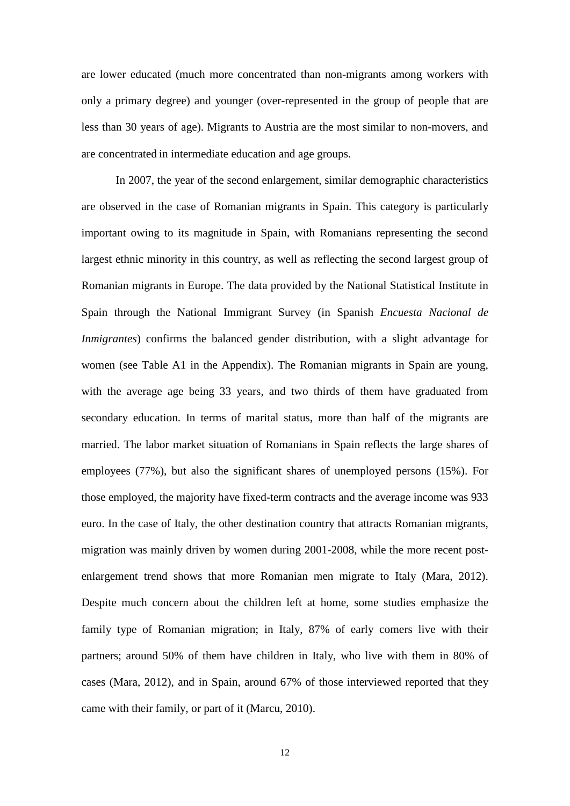are lower educated (much more concentrated than non-migrants among workers with only a primary degree) and younger (over-represented in the group of people that are less than 30 years of age). Migrants to Austria are the most similar to non-movers, and are concentrated in intermediate education and age groups.

In 2007, the year of the second enlargement, similar demographic characteristics are observed in the case of Romanian migrants in Spain. This category is particularly important owing to its magnitude in Spain, with Romanians representing the second largest ethnic minority in this country, as well as reflecting the second largest group of Romanian migrants in Europe. The data provided by the National Statistical Institute in Spain through the National Immigrant Survey (in Spanish *Encuesta Nacional de Inmigrantes*) confirms the balanced gender distribution, with a slight advantage for women (see Table A1 in the Appendix). The Romanian migrants in Spain are young, with the average age being 33 years, and two thirds of them have graduated from secondary education. In terms of marital status, more than half of the migrants are married. The labor market situation of Romanians in Spain reflects the large shares of employees (77%), but also the significant shares of unemployed persons (15%). For those employed, the majority have fixed-term contracts and the average income was 933 euro. In the case of Italy, the other destination country that attracts Romanian migrants, migration was mainly driven by women during 2001-2008, while the more recent postenlargement trend shows that more Romanian men migrate to Italy (Mara, 2012). Despite much concern about the children left at home, some studies emphasize the family type of Romanian migration; in Italy, 87% of early comers live with their partners; around 50% of them have children in Italy, who live with them in 80% of cases (Mara, 2012), and in Spain, around 67% of those interviewed reported that they came with their family, or part of it (Marcu, 2010).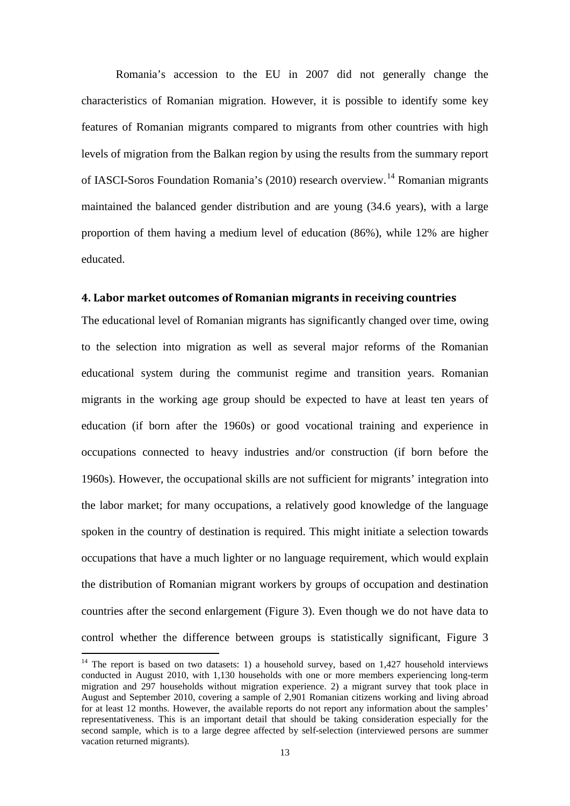Romania's accession to the EU in 2007 did not generally change the characteristics of Romanian migration. However, it is possible to identify some key features of Romanian migrants compared to migrants from other countries with high levels of migration from the Balkan region by using the results from the summary report of IASCI-Soros Foundation Romania's (2010) research overview.<sup>[14](#page-10-0)</sup> Romanian migrants maintained the balanced gender distribution and are young (34.6 years), with a large proportion of them having a medium level of education (86%), while 12% are higher educated.

#### **4. Labor market outcomes of Romanian migrants in receiving countries**

The educational level of Romanian migrants has significantly changed over time, owing to the selection into migration as well as several major reforms of the Romanian educational system during the communist regime and transition years. Romanian migrants in the working age group should be expected to have at least ten years of education (if born after the 1960s) or good vocational training and experience in occupations connected to heavy industries and/or construction (if born before the 1960s). However, the occupational skills are not sufficient for migrants' integration into the labor market; for many occupations, a relatively good knowledge of the language spoken in the country of destination is required. This might initiate a selection towards occupations that have a much lighter or no language requirement, which would explain the distribution of Romanian migrant workers by groups of occupation and destination countries after the second enlargement (Figure 3). Even though we do not have data to control whether the difference between groups is statistically significant, Figure 3

<span id="page-14-0"></span><sup>&</sup>lt;sup>14</sup> The report is based on two datasets: 1) a household survey, based on 1,427 household interviews conducted in August 2010, with 1,130 households with one or more members experiencing long-term migration and 297 households without migration experience. 2) a migrant survey that took place in August and September 2010, covering a sample of 2,901 Romanian citizens working and living abroad for at least 12 months. However, the available reports do not report any information about the samples' representativeness. This is an important detail that should be taking consideration especially for the second sample, which is to a large degree affected by self-selection (interviewed persons are summer vacation returned migrants).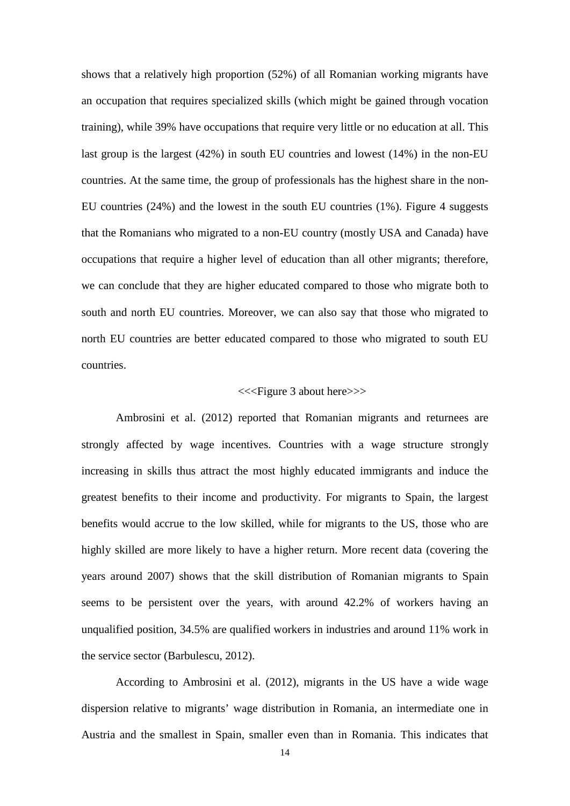shows that a relatively high proportion (52%) of all Romanian working migrants have an occupation that requires specialized skills (which might be gained through vocation training), while 39% have occupations that require very little or no education at all. This last group is the largest (42%) in south EU countries and lowest (14%) in the non-EU countries. At the same time, the group of professionals has the highest share in the non-EU countries (24%) and the lowest in the south EU countries (1%). Figure 4 suggests that the Romanians who migrated to a non-EU country (mostly USA and Canada) have occupations that require a higher level of education than all other migrants; therefore, we can conclude that they are higher educated compared to those who migrate both to south and north EU countries. Moreover, we can also say that those who migrated to north EU countries are better educated compared to those who migrated to south EU countries.

#### <<<Figure 3 about here>>>

Ambrosini et al. (2012) reported that Romanian migrants and returnees are strongly affected by wage incentives. Countries with a wage structure strongly increasing in skills thus attract the most highly educated immigrants and induce the greatest benefits to their income and productivity. For migrants to Spain, the largest benefits would accrue to the low skilled, while for migrants to the US, those who are highly skilled are more likely to have a higher return. More recent data (covering the years around 2007) shows that the skill distribution of Romanian migrants to Spain seems to be persistent over the years, with around 42.2% of workers having an unqualified position, 34.5% are qualified workers in industries and around 11% work in the service sector (Barbulescu, 2012).

According to Ambrosini et al. (2012), migrants in the US have a wide wage dispersion relative to migrants' wage distribution in Romania, an intermediate one in Austria and the smallest in Spain, smaller even than in Romania. This indicates that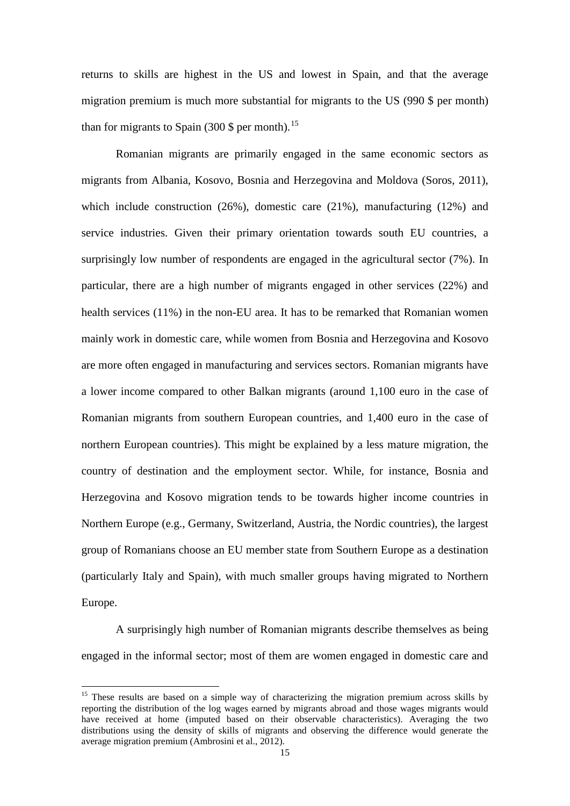returns to skills are highest in the US and lowest in Spain, and that the average migration premium is much more substantial for migrants to the US (990 \$ per month) than for migrants to Spain (300 \$ per month).<sup>[15](#page-14-0)</sup>

Romanian migrants are primarily engaged in the same economic sectors as migrants from Albania, Kosovo, Bosnia and Herzegovina and Moldova (Soros, 2011), which include construction  $(26%)$ , domestic care  $(21%)$ , manufacturing  $(12%)$  and service industries. Given their primary orientation towards south EU countries, a surprisingly low number of respondents are engaged in the agricultural sector (7%). In particular, there are a high number of migrants engaged in other services (22%) and health services (11%) in the non-EU area. It has to be remarked that Romanian women mainly work in domestic care, while women from Bosnia and Herzegovina and Kosovo are more often engaged in manufacturing and services sectors. Romanian migrants have a lower income compared to other Balkan migrants (around 1,100 euro in the case of Romanian migrants from southern European countries, and 1,400 euro in the case of northern European countries). This might be explained by a less mature migration, the country of destination and the employment sector. While, for instance, Bosnia and Herzegovina and Kosovo migration tends to be towards higher income countries in Northern Europe (e.g., Germany, Switzerland, Austria, the Nordic countries), the largest group of Romanians choose an EU member state from Southern Europe as a destination (particularly Italy and Spain), with much smaller groups having migrated to Northern Europe.

A surprisingly high number of Romanian migrants describe themselves as being engaged in the informal sector; most of them are women engaged in domestic care and

<span id="page-16-0"></span><sup>&</sup>lt;sup>15</sup> These results are based on a simple way of characterizing the migration premium across skills by reporting the distribution of the log wages earned by migrants abroad and those wages migrants would have received at home (imputed based on their observable characteristics). Averaging the two distributions using the density of skills of migrants and observing the difference would generate the average migration premium (Ambrosini et al., 2012).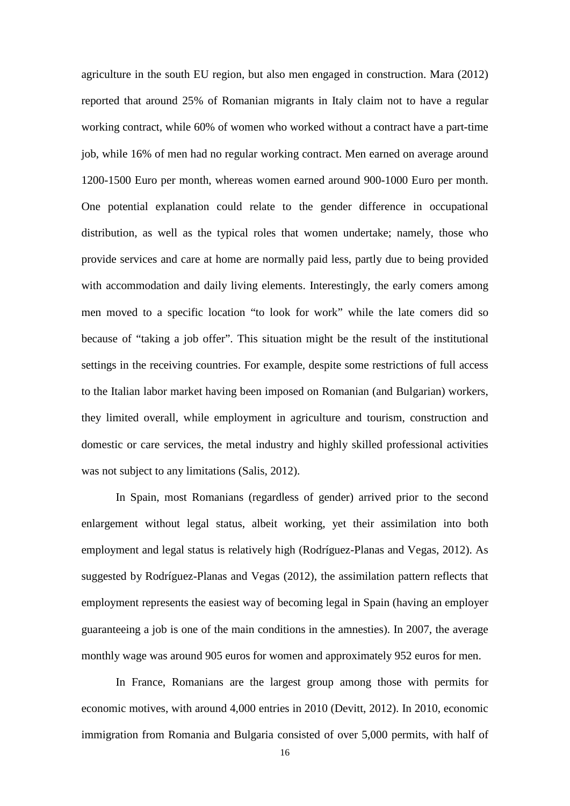agriculture in the south EU region, but also men engaged in construction. Mara (2012) reported that around 25% of Romanian migrants in Italy claim not to have a regular working contract, while 60% of women who worked without a contract have a part-time job, while 16% of men had no regular working contract. Men earned on average around 1200-1500 Euro per month, whereas women earned around 900-1000 Euro per month. One potential explanation could relate to the gender difference in occupational distribution, as well as the typical roles that women undertake; namely, those who provide services and care at home are normally paid less, partly due to being provided with accommodation and daily living elements. Interestingly, the early comers among men moved to a specific location "to look for work" while the late comers did so because of "taking a job offer". This situation might be the result of the institutional settings in the receiving countries. For example, despite some restrictions of full access to the Italian labor market having been imposed on Romanian (and Bulgarian) workers, they limited overall, while employment in agriculture and tourism, construction and domestic or care services, the metal industry and highly skilled professional activities was not subject to any limitations (Salis, 2012).

In Spain, most Romanians (regardless of gender) arrived prior to the second enlargement without legal status, albeit working, yet their assimilation into both employment and legal status is relatively high (Rodríguez-Planas and Vegas, 2012). As suggested by Rodríguez-Planas and Vegas (2012), the assimilation pattern reflects that employment represents the easiest way of becoming legal in Spain (having an employer guaranteeing a job is one of the main conditions in the amnesties). In 2007, the average monthly wage was around 905 euros for women and approximately 952 euros for men.

In France, Romanians are the largest group among those with permits for economic motives, with around 4,000 entries in 2010 (Devitt, 2012). In 2010, economic immigration from Romania and Bulgaria consisted of over 5,000 permits, with half of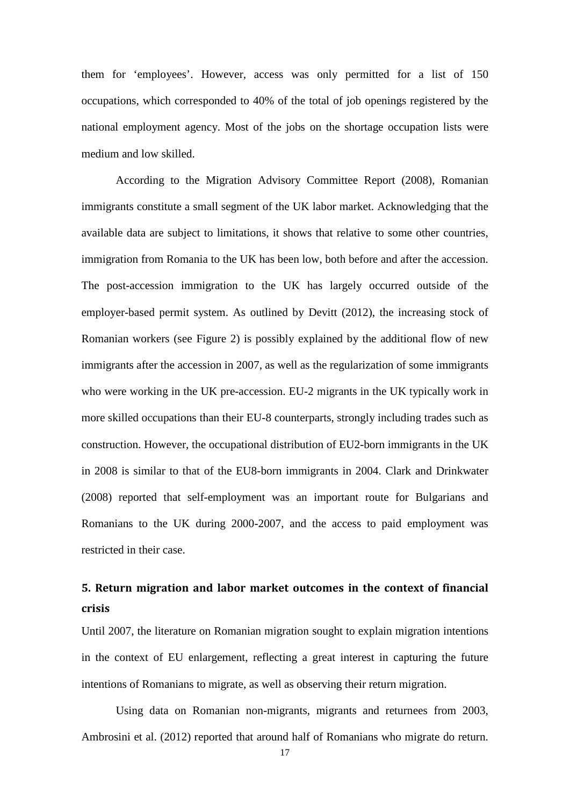them for 'employees'. However, access was only permitted for a list of 150 occupations, which corresponded to 40% of the total of job openings registered by the national employment agency. Most of the jobs on the shortage occupation lists were medium and low skilled.

According to the Migration Advisory Committee Report (2008), Romanian immigrants constitute a small segment of the UK labor market. Acknowledging that the available data are subject to limitations, it shows that relative to some other countries, immigration from Romania to the UK has been low, both before and after the accession. The post-accession immigration to the UK has largely occurred outside of the employer-based permit system. As outlined by Devitt (2012), the increasing stock of Romanian workers (see Figure 2) is possibly explained by the additional flow of new immigrants after the accession in 2007, as well as the regularization of some immigrants who were working in the UK pre-accession. EU-2 migrants in the UK typically work in more skilled occupations than their EU-8 counterparts, strongly including trades such as construction. However, the occupational distribution of EU2-born immigrants in the UK in 2008 is similar to that of the EU8-born immigrants in 2004. Clark and Drinkwater (2008) reported that self-employment was an important route for Bulgarians and Romanians to the UK during 2000-2007, and the access to paid employment was restricted in their case.

### **5. Return migration and labor market outcomes in the context of financial crisis**

Until 2007, the literature on Romanian migration sought to explain migration intentions in the context of EU enlargement, reflecting a great interest in capturing the future intentions of Romanians to migrate, as well as observing their return migration.

Using data on Romanian non-migrants, migrants and returnees from 2003, Ambrosini et al. (2012) reported that around half of Romanians who migrate do return.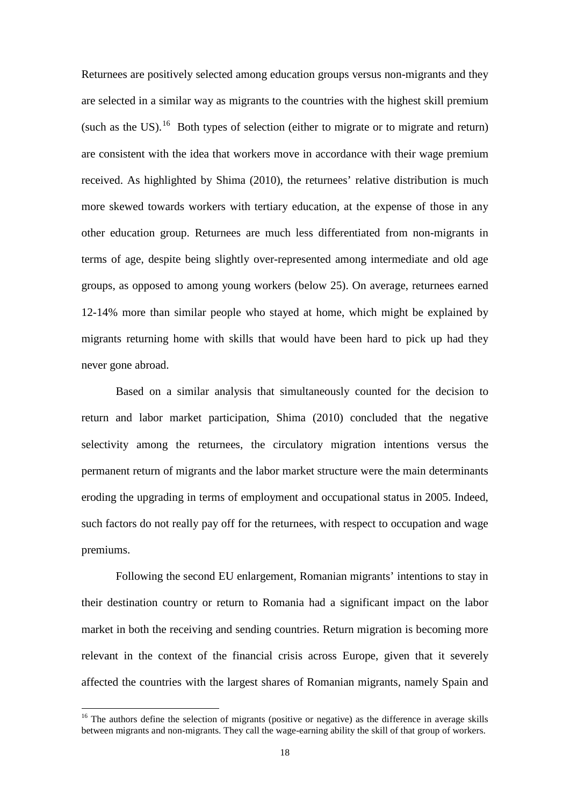Returnees are positively selected among education groups versus non-migrants and they are selected in a similar way as migrants to the countries with the highest skill premium (such as the US).<sup>16</sup> Both types of selection (either to migrate or to migrate and return) are consistent with the idea that workers move in accordance with their wage premium received. As highlighted by Shima (2010), the returnees' relative distribution is much more skewed towards workers with tertiary education, at the expense of those in any other education group. Returnees are much less differentiated from non-migrants in terms of age, despite being slightly over-represented among intermediate and old age groups, as opposed to among young workers (below 25). On average, returnees earned 12-14% more than similar people who stayed at home, which might be explained by migrants returning home with skills that would have been hard to pick up had they never gone abroad.

Based on a similar analysis that simultaneously counted for the decision to return and labor market participation, Shima (2010) concluded that the negative selectivity among the returnees, the circulatory migration intentions versus the permanent return of migrants and the labor market structure were the main determinants eroding the upgrading in terms of employment and occupational status in 2005. Indeed, such factors do not really pay off for the returnees, with respect to occupation and wage premiums.

Following the second EU enlargement, Romanian migrants' intentions to stay in their destination country or return to Romania had a significant impact on the labor market in both the receiving and sending countries. Return migration is becoming more relevant in the context of the financial crisis across Europe, given that it severely affected the countries with the largest shares of Romanian migrants, namely Spain and

<span id="page-19-0"></span><sup>&</sup>lt;sup>16</sup> The authors define the selection of migrants (positive or negative) as the difference in average skills between migrants and non-migrants. They call the wage-earning ability the skill of that group of workers.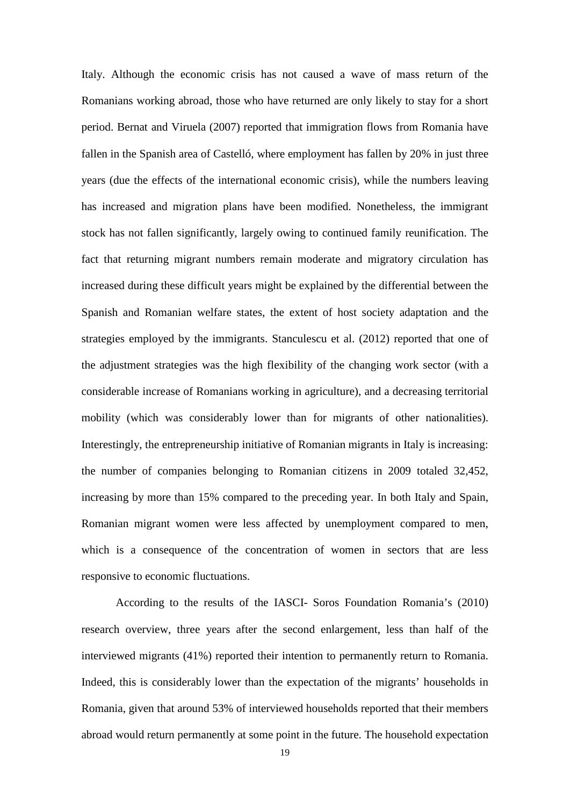Italy. Although the economic crisis has not caused a wave of mass return of the Romanians working abroad, those who have returned are only likely to stay for a short period. Bernat and Viruela (2007) reported that immigration flows from Romania have fallen in the Spanish area of Castelló, where employment has fallen by 20% in just three years (due the effects of the international economic crisis), while the numbers leaving has increased and migration plans have been modified. Nonetheless, the immigrant stock has not fallen significantly, largely owing to continued family reunification. The fact that returning migrant numbers remain moderate and migratory circulation has increased during these difficult years might be explained by the differential between the Spanish and Romanian welfare states, the extent of host society adaptation and the strategies employed by the immigrants. Stanculescu et al. (2012) reported that one of the adjustment strategies was the high flexibility of the changing work sector (with a considerable increase of Romanians working in agriculture), and a decreasing territorial mobility (which was considerably lower than for migrants of other nationalities). Interestingly, the entrepreneurship initiative of Romanian migrants in Italy is increasing: the number of companies belonging to Romanian citizens in 2009 totaled 32,452, increasing by more than 15% compared to the preceding year. In both Italy and Spain, Romanian migrant women were less affected by unemployment compared to men, which is a consequence of the concentration of women in sectors that are less responsive to economic fluctuations.

According to the results of the IASCI- Soros Foundation Romania's (2010) research overview, three years after the second enlargement, less than half of the interviewed migrants (41%) reported their intention to permanently return to Romania. Indeed, this is considerably lower than the expectation of the migrants' households in Romania, given that around 53% of interviewed households reported that their members abroad would return permanently at some point in the future. The household expectation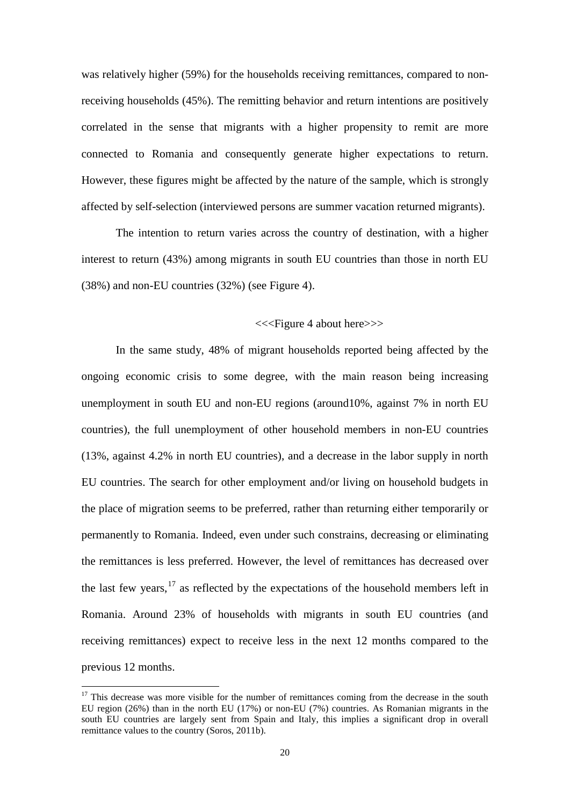was relatively higher (59%) for the households receiving remittances, compared to nonreceiving households (45%). The remitting behavior and return intentions are positively correlated in the sense that migrants with a higher propensity to remit are more connected to Romania and consequently generate higher expectations to return. However, these figures might be affected by the nature of the sample, which is strongly affected by self-selection (interviewed persons are summer vacation returned migrants).

The intention to return varies across the country of destination, with a higher interest to return (43%) among migrants in south EU countries than those in north EU (38%) and non-EU countries (32%) (see Figure 4).

#### <<<Figure 4 about here>>>

In the same study, 48% of migrant households reported being affected by the ongoing economic crisis to some degree, with the main reason being increasing unemployment in south EU and non-EU regions (around10%, against 7% in north EU countries), the full unemployment of other household members in non-EU countries (13%, against 4.2% in north EU countries), and a decrease in the labor supply in north EU countries. The search for other employment and/or living on household budgets in the place of migration seems to be preferred, rather than returning either temporarily or permanently to Romania. Indeed, even under such constrains, decreasing or eliminating the remittances is less preferred. However, the level of remittances has decreased over the last few years,  $17$  as reflected by the expectations of the household members left in Romania. Around 23% of households with migrants in south EU countries (and receiving remittances) expect to receive less in the next 12 months compared to the previous 12 months.

<span id="page-21-0"></span> $17$  This decrease was more visible for the number of remittances coming from the decrease in the south EU region (26%) than in the north EU (17%) or non-EU (7%) countries. As Romanian migrants in the south EU countries are largely sent from Spain and Italy, this implies a significant drop in overall remittance values to the country (Soros, 2011b).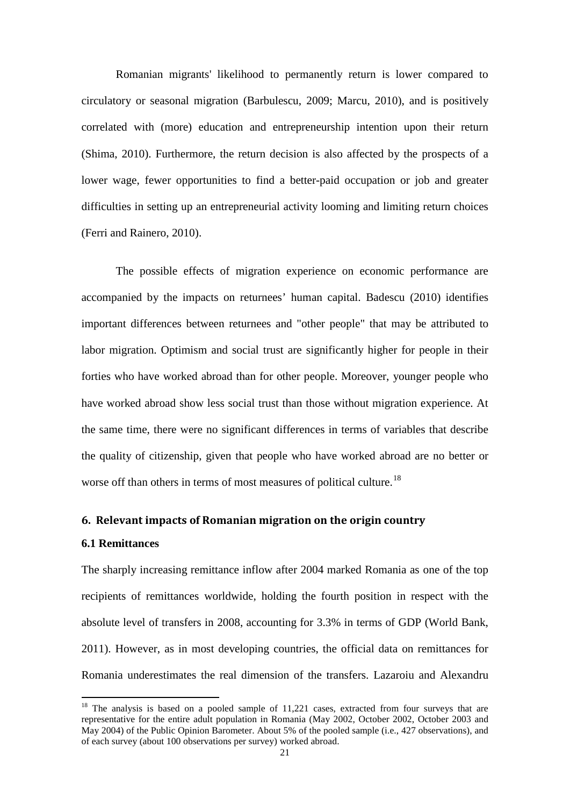Romanian migrants' likelihood to permanently return is lower compared to circulatory or seasonal migration (Barbulescu, 2009; Marcu, 2010), and is positively correlated with (more) education and entrepreneurship intention upon their return (Shima, 2010). Furthermore, the return decision is also affected by the prospects of a lower wage, fewer opportunities to find a better-paid occupation or job and greater difficulties in setting up an entrepreneurial activity looming and limiting return choices (Ferri and Rainero, 2010).

The possible effects of migration experience on economic performance are accompanied by the impacts on returnees' human capital. Badescu (2010) identifies important differences between returnees and "other people" that may be attributed to labor migration. Optimism and social trust are significantly higher for people in their forties who have worked abroad than for other people. Moreover, younger people who have worked abroad show less social trust than those without migration experience. At the same time, there were no significant differences in terms of variables that describe the quality of citizenship, given that people who have worked abroad are no better or worse off than others in terms of most measures of political culture.<sup>[18](#page-21-0)</sup>

#### **6. Relevant impacts of Romanian migration on the origin country**

#### **6.1 Remittances**

<span id="page-22-0"></span>The sharply increasing remittance inflow after 2004 marked Romania as one of the top recipients of remittances worldwide, holding the fourth position in respect with the absolute level of transfers in 2008, accounting for 3.3% in terms of GDP (World Bank, 2011). However, as in most developing countries, the official data on remittances for Romania underestimates the real dimension of the transfers. Lazaroiu and Alexandru

<sup>&</sup>lt;sup>18</sup> The analysis is based on a pooled sample of 11,221 cases, extracted from four surveys that are representative for the entire adult population in Romania (May 2002, October 2002, October 2003 and May 2004) of the Public Opinion Barometer. About 5% of the pooled sample (i.e., 427 observations), and of each survey (about 100 observations per survey) worked abroad.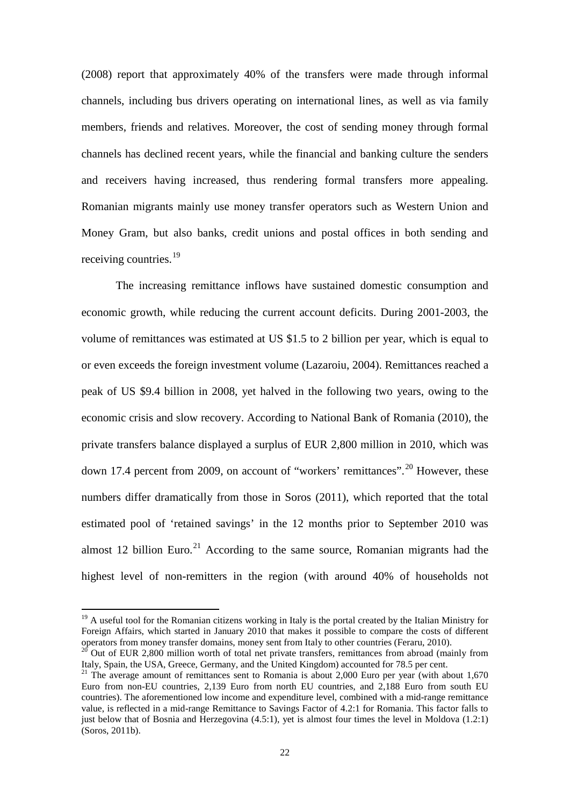(2008) report that approximately 40% of the transfers were made through informal channels, including bus drivers operating on international lines, as well as via family members, friends and relatives. Moreover, the cost of sending money through formal channels has declined recent years, while the financial and banking culture the senders and receivers having increased, thus rendering formal transfers more appealing. Romanian migrants mainly use money transfer operators such as Western Union and Money Gram, but also banks, credit unions and postal offices in both sending and receiving countries.<sup>[19](#page-22-0)</sup>

The increasing remittance inflows have sustained domestic consumption and economic growth, while reducing the current account deficits. During 2001-2003, the volume of remittances was estimated at US \$1.5 to 2 billion per year, which is equal to or even exceeds the foreign investment volume (Lazaroiu, 2004). Remittances reached a peak of US \$9.4 billion in 2008, yet halved in the following two years, owing to the economic crisis and slow recovery. According to National Bank of Romania (2010), the private transfers balance displayed a surplus of EUR 2,800 million in 2010, which was down 17.4 percent from [20](#page-23-0)09, on account of "workers' remittances".<sup>20</sup> However, these numbers differ dramatically from those in Soros (2011), which reported that the total estimated pool of 'retained savings' in the 12 months prior to September 2010 was almost 12 billion Euro.<sup>[21](#page-23-1)</sup> According to the same source, Romanian migrants had the highest level of non-remitters in the region (with around 40% of households not

<sup>&</sup>lt;sup>19</sup> A useful tool for the Romanian citizens working in Italy is the portal created by the Italian Ministry for Foreign Affairs, which started in January 2010 that makes it possible to compare the costs of different operators from money transfer domains, money sent from Italy to other countries (Feraru, 2010).

<span id="page-23-0"></span> $20$  Out of EUR 2,800 million worth of total net private transfers, remittances from abroad (mainly from Italy, Spain, the USA, Greece, Germany, and the United Kingdom) accounted for 78.5 per cent.

<span id="page-23-2"></span><span id="page-23-1"></span><sup>&</sup>lt;sup>21</sup> The average amount of remittances sent to Romania is about 2,000 Euro per year (with about 1,670) Euro from non-EU countries, 2,139 Euro from north EU countries, and 2,188 Euro from south EU countries). The aforementioned low income and expenditure level, combined with a mid-range remittance value, is reflected in a mid-range Remittance to Savings Factor of 4.2:1 for Romania. This factor falls to just below that of Bosnia and Herzegovina (4.5:1), yet is almost four times the level in Moldova (1.2:1) (Soros, 2011b).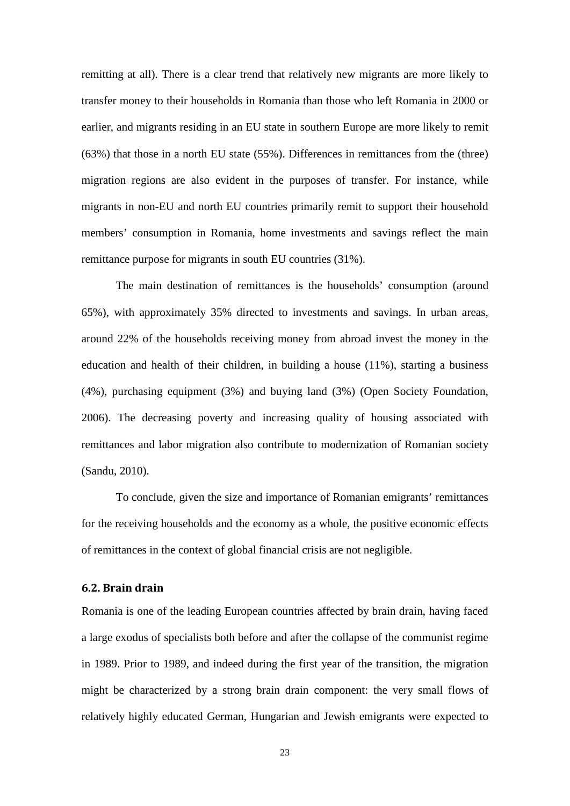remitting at all). There is a clear trend that relatively new migrants are more likely to transfer money to their households in Romania than those who left Romania in 2000 or earlier, and migrants residing in an EU state in southern Europe are more likely to remit (63%) that those in a north EU state (55%). Differences in remittances from the (three) migration regions are also evident in the purposes of transfer. For instance, while migrants in non-EU and north EU countries primarily remit to support their household members' consumption in Romania, home investments and savings reflect the main remittance purpose for migrants in south EU countries (31%).

The main destination of remittances is the households' consumption (around 65%), with approximately 35% directed to investments and savings. In urban areas, around 22% of the households receiving money from abroad invest the money in the education and health of their children, in building a house (11%), starting a business (4%), purchasing equipment (3%) and buying land (3%) (Open Society Foundation, 2006). The decreasing poverty and increasing quality of housing associated with remittances and labor migration also contribute to modernization of Romanian society (Sandu, 2010).

To conclude, given the size and importance of Romanian emigrants' remittances for the receiving households and the economy as a whole, the positive economic effects of remittances in the context of global financial crisis are not negligible.

#### **6.2. Brain drain**

Romania is one of the leading European countries affected by brain drain, having faced a large exodus of specialists both before and after the collapse of the communist regime in 1989. Prior to 1989, and indeed during the first year of the transition, the migration might be characterized by a strong brain drain component: the very small flows of relatively highly educated German, Hungarian and Jewish emigrants were expected to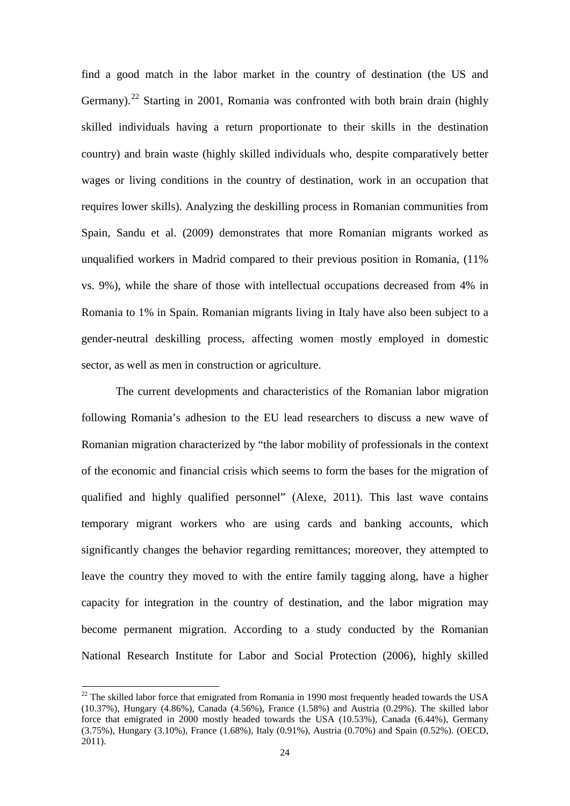find a good match in the labor market in the country of destination (the US and Germany).<sup>[22](#page-23-2)</sup> Starting in 2001, Romania was confronted with both brain drain (highly skilled individuals having a return proportionate to their skills in the destination country) and brain waste (highly skilled individuals who, despite comparatively better wages or living conditions in the country of destination, work in an occupation that requires lower skills). Analyzing the deskilling process in Romanian communities from Spain, Sandu et al. (2009) demonstrates that more Romanian migrants worked as unqualified workers in Madrid compared to their previous position in Romania, (11% vs. 9%), while the share of those with intellectual occupations decreased from 4% in Romania to 1% in Spain. Romanian migrants living in Italy have also been subject to a gender-neutral deskilling process, affecting women mostly employed in domestic sector, as well as men in construction or agriculture.

The current developments and characteristics of the Romanian labor migration following Romania's adhesion to the EU lead researchers to discuss a new wave of Romanian migration characterized by "the labor mobility of professionals in the context of the economic and financial crisis which seems to form the bases for the migration of qualified and highly qualified personnel" (Alexe, 2011). This last wave contains temporary migrant workers who are using cards and banking accounts, which significantly changes the behavior regarding remittances; moreover, they attempted to leave the country they moved to with the entire family tagging along, have a higher capacity for integration in the country of destination, and the labor migration may become permanent migration. According to a study conducted by the Romanian National Research Institute for Labor and Social Protection (2006), highly skilled

<span id="page-25-0"></span> $^{22}$  The skilled labor force that emigrated from Romania in 1990 most frequently headed towards the USA (10.37%), Hungary (4.86%), Canada (4.56%), France (1.58%) and Austria (0.29%). The skilled labor force that emigrated in 2000 mostly headed towards the USA (10.53%), Canada (6.44%), Germany (3.75%), Hungary (3.10%), France (1.68%), Italy (0.91%), Austria (0.70%) and Spain (0.52%). (OECD, 2011).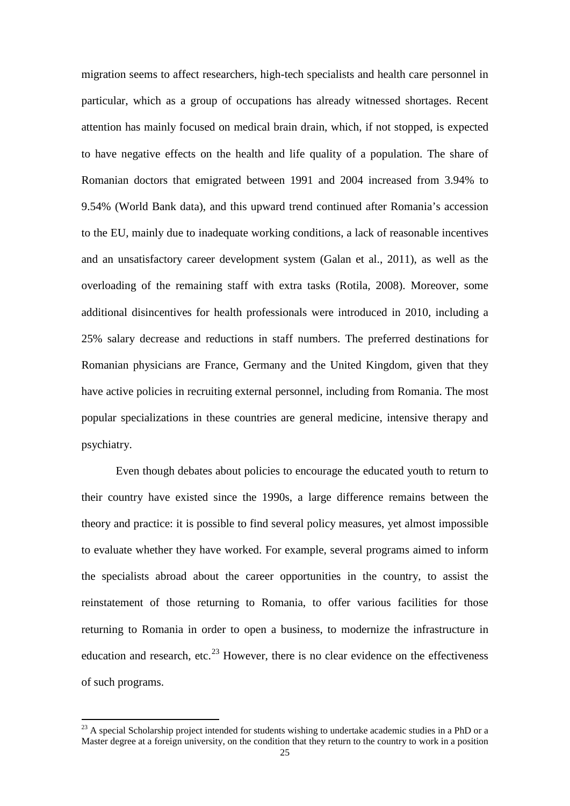migration seems to affect researchers, high-tech specialists and health care personnel in particular, which as a group of occupations has already witnessed shortages. Recent attention has mainly focused on medical brain drain, which, if not stopped, is expected to have negative effects on the health and life quality of a population. The share of Romanian doctors that emigrated between 1991 and 2004 increased from 3.94% to 9.54% (World Bank data), and this upward trend continued after Romania's accession to the EU, mainly due to inadequate working conditions, a lack of reasonable incentives and an unsatisfactory career development system (Galan et al., 2011), as well as the overloading of the remaining staff with extra tasks (Rotila, 2008). Moreover, some additional disincentives for health professionals were introduced in 2010, including a 25% salary decrease and reductions in staff numbers. The preferred destinations for Romanian physicians are France, Germany and the United Kingdom, given that they have active policies in recruiting external personnel, including from Romania. The most popular specializations in these countries are general medicine, intensive therapy and psychiatry.

Even though debates about policies to encourage the educated youth to return to their country have existed since the 1990s, a large difference remains between the theory and practice: it is possible to find several policy measures, yet almost impossible to evaluate whether they have worked. For example, several programs aimed to inform the specialists abroad about the career opportunities in the country, to assist the reinstatement of those returning to Romania, to offer various facilities for those returning to Romania in order to open a business, to modernize the infrastructure in education and research, etc.<sup>[23](#page-25-0)</sup> However, there is no clear evidence on the effectiveness of such programs.

 $^{23}$  A special Scholarship project intended for students wishing to undertake academic studies in a PhD or a Master degree at a foreign university, on the condition that they return to the country to work in a position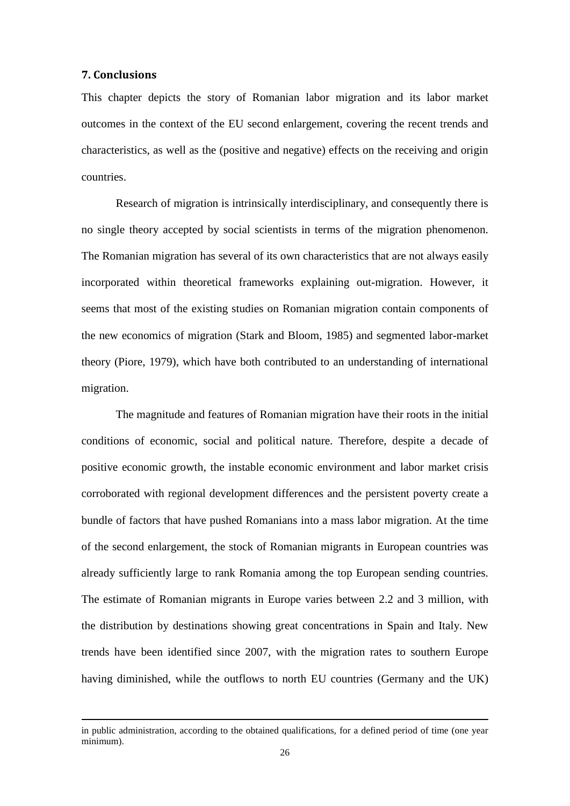#### **7. Conclusions**

 $\overline{a}$ 

This chapter depicts the story of Romanian labor migration and its labor market outcomes in the context of the EU second enlargement, covering the recent trends and characteristics, as well as the (positive and negative) effects on the receiving and origin countries.

Research of migration is intrinsically interdisciplinary, and consequently there is no single theory accepted by social scientists in terms of the migration phenomenon. The Romanian migration has several of its own characteristics that are not always easily incorporated within theoretical frameworks explaining out-migration. However, it seems that most of the existing studies on Romanian migration contain components of the new economics of migration (Stark and Bloom, 1985) and segmented labor-market theory (Piore, 1979), which have both contributed to an understanding of international migration.

The magnitude and features of Romanian migration have their roots in the initial conditions of economic, social and political nature. Therefore, despite a decade of positive economic growth, the instable economic environment and labor market crisis corroborated with regional development differences and the persistent poverty create a bundle of factors that have pushed Romanians into a mass labor migration. At the time of the second enlargement, the stock of Romanian migrants in European countries was already sufficiently large to rank Romania among the top European sending countries. The estimate of Romanian migrants in Europe varies between 2.2 and 3 million, with the distribution by destinations showing great concentrations in Spain and Italy. New trends have been identified since 2007, with the migration rates to southern Europe having diminished, while the outflows to north EU countries (Germany and the UK)

in public administration, according to the obtained qualifications, for a defined period of time (one year minimum).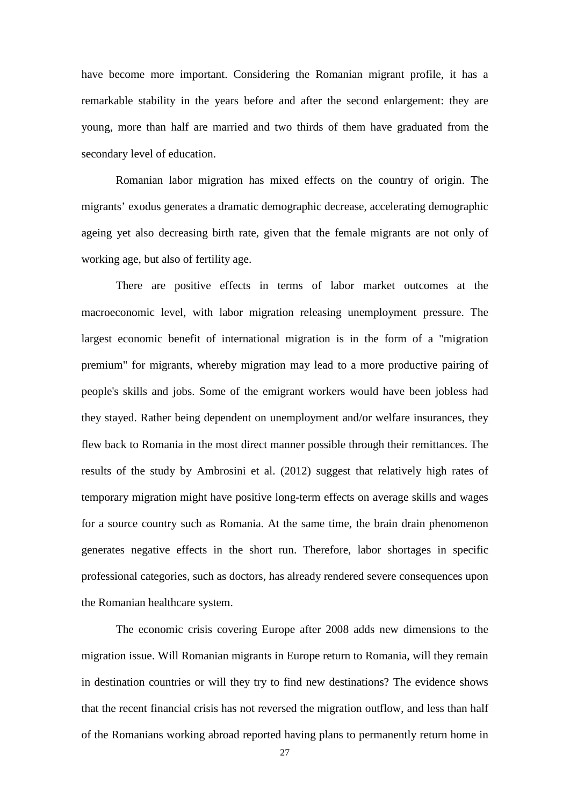have become more important. Considering the Romanian migrant profile, it has a remarkable stability in the years before and after the second enlargement: they are young, more than half are married and two thirds of them have graduated from the secondary level of education.

Romanian labor migration has mixed effects on the country of origin. The migrants' exodus generates a dramatic demographic decrease, accelerating demographic ageing yet also decreasing birth rate, given that the female migrants are not only of working age, but also of fertility age.

There are positive effects in terms of labor market outcomes at the macroeconomic level, with labor migration releasing unemployment pressure. The largest economic benefit of international migration is in the form of a "migration premium" for migrants, whereby migration may lead to a more productive pairing of people's skills and jobs. Some of the emigrant workers would have been jobless had they stayed. Rather being dependent on unemployment and/or welfare insurances, they flew back to Romania in the most direct manner possible through their remittances. The results of the study by Ambrosini et al. (2012) suggest that relatively high rates of temporary migration might have positive long-term effects on average skills and wages for a source country such as Romania. At the same time, the brain drain phenomenon generates negative effects in the short run. Therefore, labor shortages in specific professional categories, such as doctors, has already rendered severe consequences upon the Romanian healthcare system.

The economic crisis covering Europe after 2008 adds new dimensions to the migration issue. Will Romanian migrants in Europe return to Romania, will they remain in destination countries or will they try to find new destinations? The evidence shows that the recent financial crisis has not reversed the migration outflow, and less than half of the Romanians working abroad reported having plans to permanently return home in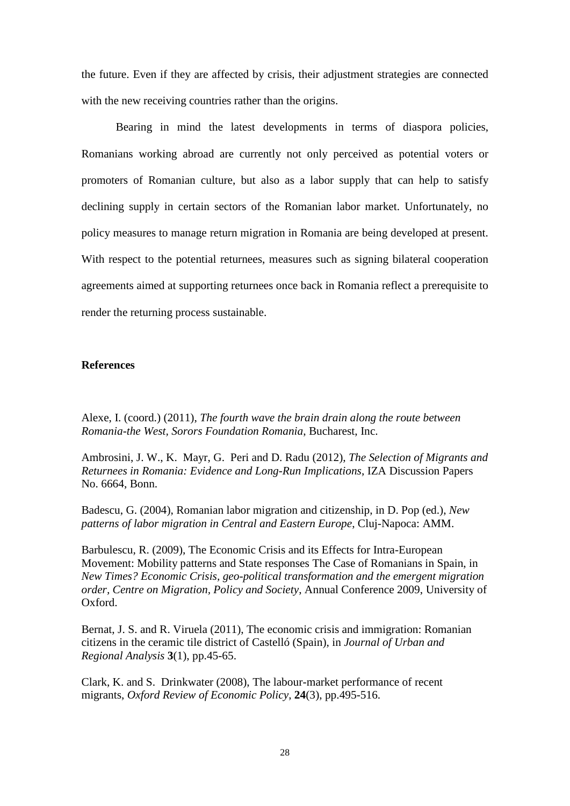the future. Even if they are affected by crisis, their adjustment strategies are connected with the new receiving countries rather than the origins.

Bearing in mind the latest developments in terms of diaspora policies, Romanians working abroad are currently not only perceived as potential voters or promoters of Romanian culture, but also as a labor supply that can help to satisfy declining supply in certain sectors of the Romanian labor market. Unfortunately, no policy measures to manage return migration in Romania are being developed at present. With respect to the potential returnees, measures such as signing bilateral cooperation agreements aimed at supporting returnees once back in Romania reflect a prerequisite to render the returning process sustainable.

#### **References**

Alexe, I. (coord.) (2011), *The fourth wave the brain drain along the route between Romania-the West, Sorors Foundation Romania*, Bucharest, Inc.

Ambrosini, J. W., K. Mayr, G. Peri and D. Radu (2012), *The Selection of Migrants and Returnees in Romania: Evidence and Long-Run Implications*, IZA Discussion Papers No. 6664, Bonn.

Badescu, G. (2004), Romanian labor migration and citizenship, in D. Pop (ed.), *New patterns of labor migration in Central and Eastern Europe*, Cluj-Napoca: AMM.

Barbulescu, R. (2009), The Economic Crisis and its Effects for Intra-European Movement: Mobility patterns and State responses The Case of Romanians in Spain, in *New Times? Economic Crisis, geo-political transformation and the emergent migration order, Centre on Migration, Policy and Society*, Annual Conference 2009, University of Oxford.

Bernat, J. S. and R. Viruela (2011), The economic crisis and immigration: Romanian citizens in the ceramic tile district of Castelló (Spain), in *Journal of Urban and Regional Analysis* **3**(1), pp.45-65.

Clark, K. and S. Drinkwater (2008), The labour-market performance of recent migrants, *Oxford Review of Economic Policy*, **24**(3), pp.495-516.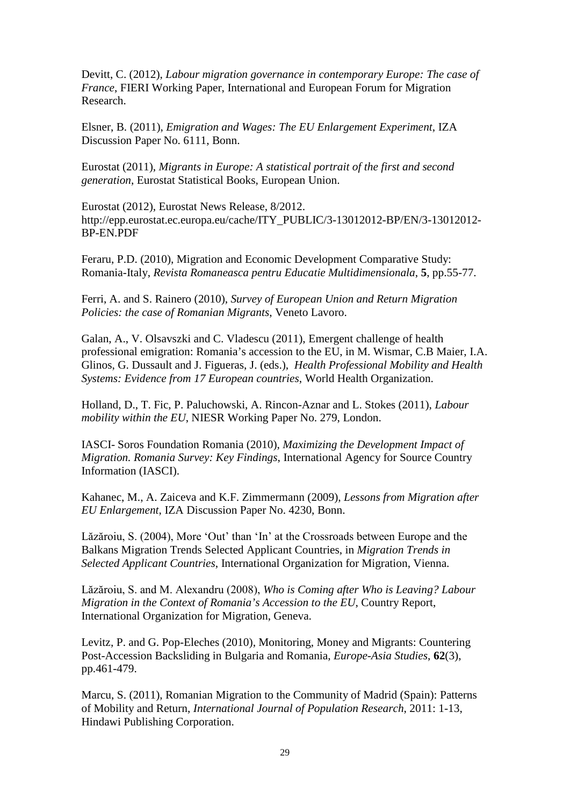Devitt, C. (2012), *Labour migration governance in contemporary Europe: The case of France*, FIERI Working Paper, International and European Forum for Migration Research.

Elsner, B. (2011), *Emigration and Wages: The EU Enlargement Experiment*, IZA Discussion Paper No. 6111, Bonn.

Eurostat (2011), *Migrants in Europe: A statistical portrait of the first and second generation*, Eurostat Statistical Books, European Union.

Eurostat (2012), Eurostat News Release, 8/2012. http://epp.eurostat.ec.europa.eu/cache/ITY\_PUBLIC/3-13012012-BP/EN/3-13012012- BP-EN.PDF

Feraru, P.D. (2010), Migration and Economic Development Comparative Study: Romania-Italy, *Revista Romaneasca pentru Educatie Multidimensionala*, **5**, pp.55-77.

Ferri, A. and S. Rainero (2010), *Survey of European Union and Return Migration Policies: the case of Romanian Migrants*, Veneto Lavoro.

Galan, A., V. Olsavszki and C. Vladescu (2011), Emergent challenge of health professional emigration: Romania's accession to the EU, in M. Wismar, C.B Maier, I.A. Glinos, G. Dussault and J. Figueras, J. (eds.), *Health Professional Mobility and Health Systems: Evidence from 17 European countries*, World Health Organization.

Holland, D., T. Fic, P. Paluchowski, A. Rincon-Aznar and L. Stokes (2011), *Labour mobility within the EU*, NIESR Working Paper No. 279, London.

IASCI- Soros Foundation Romania (2010), *Maximizing the Development Impact of Migration. Romania Survey: Key Findings*, International Agency for Source Country Information (IASCI).

Kahanec, M., A. Zaiceva and K.F. Zimmermann (2009), *Lessons from Migration after EU Enlargement*, IZA Discussion Paper No. 4230, Bonn.

Lăzăroiu, S. (2004), More 'Out' than 'In' at the Crossroads between Europe and the Balkans Migration Trends Selected Applicant Countries, in *Migration Trends in Selected Applicant Countries*, International Organization for Migration, Vienna.

Lăzăroiu, S. and M. Alexandru (2008), *Who is Coming after Who is Leaving? Labour Migration in the Context of Romania's Accession to the EU*, Country Report, International Organization for Migration, Geneva.

Levitz, P. and G. Pop-Eleches (2010), Monitoring, Money and Migrants: Countering Post-Accession Backsliding in Bulgaria and Romania, *Europe-Asia Studies*, **62**(3), pp.461-479.

Marcu, S. (2011), Romanian Migration to the Community of Madrid (Spain): Patterns of Mobility and Return, *International Journal of Population Research*, 2011: 1-13, Hindawi Publishing Corporation.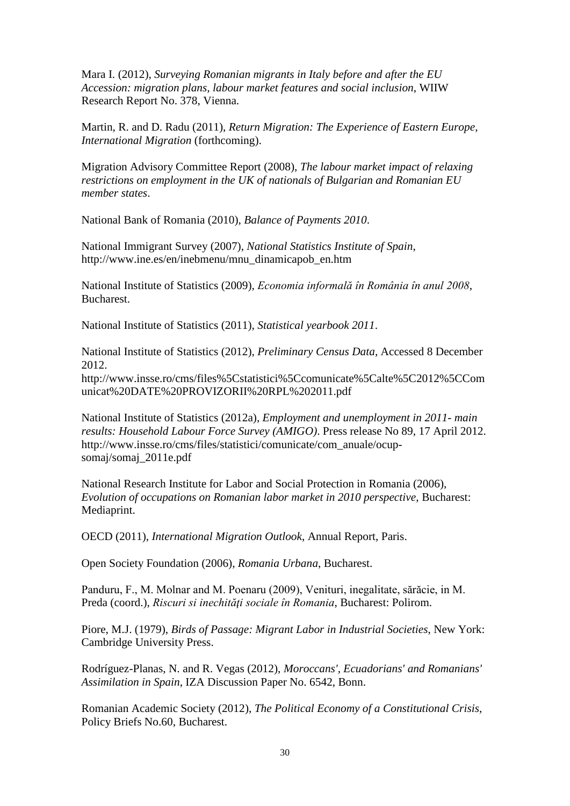Mara I. (2012), *Surveying Romanian migrants in Italy before and after the EU Accession: migration plans, labour market features and social inclusion*, WIIW Research Report No. 378, Vienna.

Martin, R. and D. Radu (2011), *Return Migration: The Experience of Eastern Europe, International Migration* (forthcoming).

Migration Advisory Committee Report (2008), *The labour market impact of relaxing restrictions on employment in the UK of nationals of Bulgarian and Romanian EU member states*.

National Bank of Romania (2010), *Balance of Payments 2010*.

National Immigrant Survey (2007), *National Statistics Institute of Spain*, http://www.ine.es/en/inebmenu/mnu\_dinamicapob\_en.htm

National Institute of Statistics (2009), *Economia informală în România în anul 2008*, **Bucharest.** 

National Institute of Statistics (2011), *Statistical yearbook 2011*.

National Institute of Statistics (2012), *Preliminary Census Data*, Accessed 8 December 2012.

http://www.insse.ro/cms/files%5Cstatistici%5Ccomunicate%5Calte%5C2012%5CCom unicat%20DATE%20PROVIZORII%20RPL%202011.pdf

National Institute of Statistics (2012a), *Employment and unemployment in 2011- main results: Household Labour Force Survey (AMIGO)*. Press release No 89, 17 April 2012. http://www.insse.ro/cms/files/statistici/comunicate/com\_anuale/ocupsomaj/somaj\_2011e.pdf

National Research Institute for Labor and Social Protection in Romania (2006), *Evolution of occupations on Romanian labor market in 2010 perspective*, Bucharest: Mediaprint.

OECD (2011), *International Migration Outlook*, Annual Report, Paris.

Open Society Foundation (2006), *Romania Urbana*, Bucharest.

Panduru, F., M. Molnar and M. Poenaru (2009), Venituri, inegalitate, sărăcie, in M. Preda (coord.), *Riscuri și inechități sociale în Romania*, Bucharest: Polirom.

Piore, M.J. (1979), *Birds of Passage: Migrant Labor in Industrial Societies*, New York: Cambridge University Press.

Rodríguez-Planas, N. and R. Vegas (2012), *Moroccans', Ecuadorians' and Romanians' Assimilation in Spain*, IZA Discussion Paper No. 6542, Bonn.

Romanian Academic Society (2012), *The Political Economy of a Constitutional Crisis*, Policy Briefs No.60, Bucharest.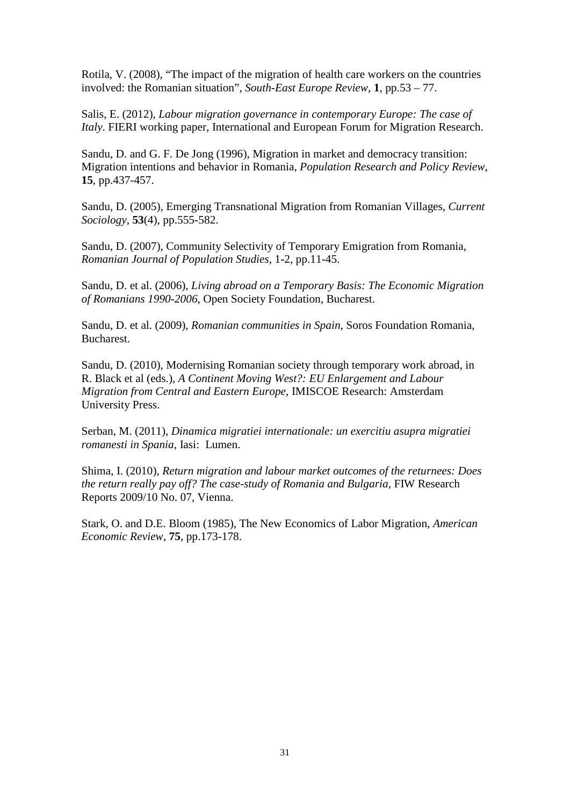Rotila, V. (2008), "The impact of the migration of health care workers on the countries involved: the Romanian situation", *South-East Europe Review*, **1**, pp.53 – 77.

Salis, E. (2012), *Labour migration governance in contemporary Europe: The case of Italy*. FIERI working paper, International and European Forum for Migration Research.

Sandu, D. and G. F. De Jong (1996), Migration in market and democracy transition: Migration intentions and behavior in Romania, *Population Research and Policy Review*, **15**, pp.437-457.

Sandu, D. (2005), Emerging Transnational Migration from Romanian Villages, *Current Sociology*, **53**(4), pp.555-582.

Sandu, D. (2007), Community Selectivity of Temporary Emigration from Romania, *Romanian Journal of Population Studies*, 1-2, pp.11-45.

Sandu, D. et al. (2006), *Living abroad on a Temporary Basis: The Economic Migration of Romanians 1990-2006*, Open Society Foundation, Bucharest.

Sandu, D. et al. (2009), *Romanian communities in Spain*, Soros Foundation Romania, Bucharest.

Sandu, D. (2010), Modernising Romanian society through temporary work abroad, in R. Black et al (eds.), *A Continent Moving West?: EU Enlargement and Labour Migration from Central and Eastern Europe*, IMISCOE Research: Amsterdam University Press.

Serban, M. (2011), *Dinamica migratiei internationale: un exercitiu asupra migratiei romanesti in Spania*, Iasi: Lumen.

Shima, I. (2010), *Return migration and labour market outcomes of the returnees: Does the return really pay off? The case-study of Romania and Bulgaria*, FIW Research Reports 2009/10 No. 07, Vienna.

Stark, O. and D.E. Bloom (1985), The New Economics of Labor Migration, *American Economic Review*, **75**, pp.173-178.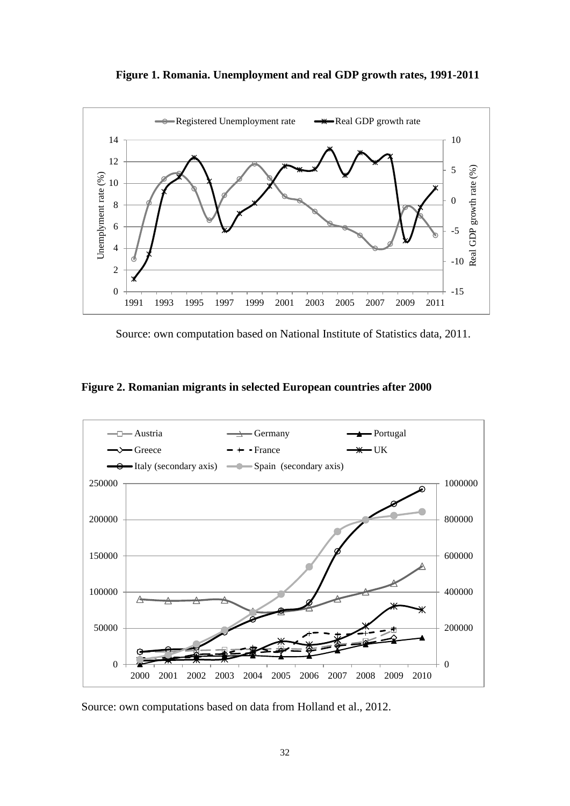**Figure 1. Romania. Unemployment and real GDP growth rates, 1991-2011**



Source: own computation based on National Institute of Statistics data, 2011.

**Figure 2. Romanian migrants in selected European countries after 2000**



Source: own computations based on data from Holland et al., 2012.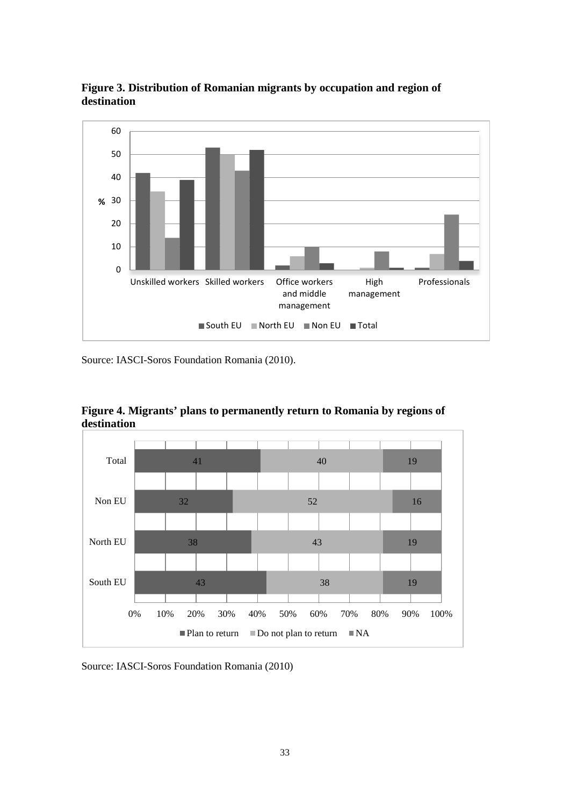

**Figure 3. Distribution of Romanian migrants by occupation and region of destination**

Source: IASCI-Soros Foundation Romania (2010).



**Figure 4. Migrants' plans to permanently return to Romania by regions of destination**

Source: IASCI-Soros Foundation Romania (2010)